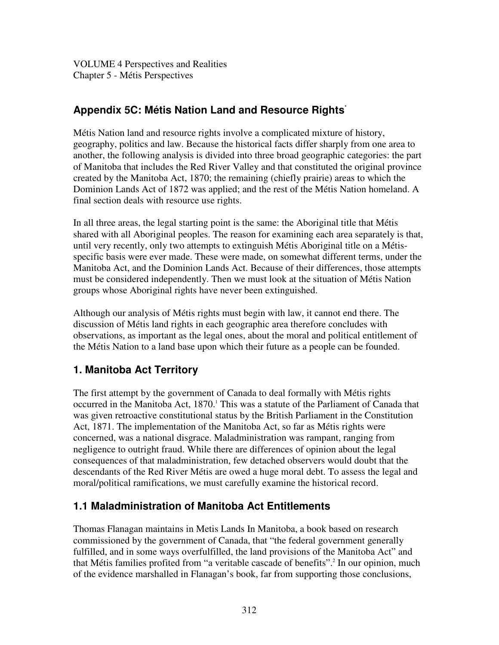VOLUME 4 Perspectives and Realities Chapter 5 - Métis Perspectives

# **Appendix 5C: Métis Nation Land and Resource Rights** \*

Métis Nation land and resource rights involve a complicated mixture of history, geography, politics and law. Because the historical facts differ sharply from one area to another, the following analysis is divided into three broad geographic categories: the part of Manitoba that includes the Red River Valley and that constituted the original province created by the Manitoba Act, 1870; the remaining (chiefly prairie) areas to which the Dominion Lands Act of 1872 was applied; and the rest of the Métis Nation homeland. A final section deals with resource use rights.

In all three areas, the legal starting point is the same: the Aboriginal title that Métis shared with all Aboriginal peoples. The reason for examining each area separately is that, until very recently, only two attempts to extinguish Métis Aboriginal title on a Métisspecific basis were ever made. These were made, on somewhat different terms, under the Manitoba Act, and the Dominion Lands Act. Because of their differences, those attempts must be considered independently. Then we must look at the situation of Métis Nation groups whose Aboriginal rights have never been extinguished.

Although our analysis of Métis rights must begin with law, it cannot end there. The discussion of Métis land rights in each geographic area therefore concludes with observations, as important as the legal ones, about the moral and political entitlement of the Métis Nation to a land base upon which their future as a people can be founded.

# **1. Manitoba Act Territory**

The first attempt by the government of Canada to deal formally with Métis rights occurred in the Manitoba Act, 1870. <sup>1</sup> This was a statute of the Parliament of Canada that was given retroactive constitutional status by the British Parliament in the Constitution Act, 1871. The implementation of the Manitoba Act, so far as Métis rights were concerned, was a national disgrace. Maladministration was rampant, ranging from negligence to outright fraud. While there are differences of opinion about the legal consequences of that maladministration, few detached observers would doubt that the descendants of the Red River Métis are owed a huge moral debt. To assess the legal and moral/political ramifications, we must carefully examine the historical record.

# **1.1 Maladministration of Manitoba Act Entitlements**

Thomas Flanagan maintains in Metis Lands In Manitoba, a book based on research commissioned by the government of Canada, that "the federal government generally fulfilled, and in some ways overfulfilled, the land provisions of the Manitoba Act" and that Métis families profited from "a veritable cascade of benefits". 2 In our opinion, much of the evidence marshalled in Flanagan's book, far from supporting those conclusions,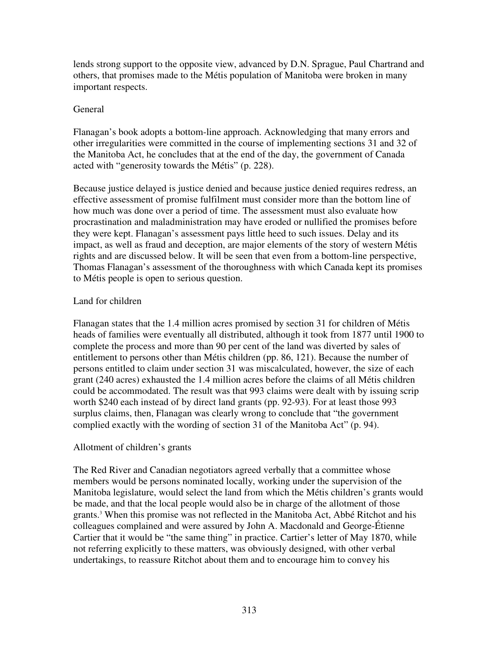lends strong support to the opposite view, advanced by D.N. Sprague, Paul Chartrand and others, that promises made to the Métis population of Manitoba were broken in many important respects.

#### General

Flanagan's book adopts a bottom-line approach. Acknowledging that many errors and other irregularities were committed in the course of implementing sections 31 and 32 of the Manitoba Act, he concludes that at the end of the day, the government of Canada acted with "generosity towards the Métis" (p. 228).

Because justice delayed is justice denied and because justice denied requires redress, an effective assessment of promise fulfilment must consider more than the bottom line of how much was done over a period of time. The assessment must also evaluate how procrastination and maladministration may have eroded or nullified the promises before they were kept. Flanagan's assessment pays little heed to such issues. Delay and its impact, as well as fraud and deception, are major elements of the story of western Métis rights and are discussed below. It will be seen that even from a bottom-line perspective, Thomas Flanagan's assessment of the thoroughness with which Canada kept its promises to Métis people is open to serious question.

#### Land for children

Flanagan states that the 1.4 million acres promised by section 31 for children of Métis heads of families were eventually all distributed, although it took from 1877 until 1900 to complete the process and more than 90 per cent of the land was diverted by sales of entitlement to persons other than Métis children (pp. 86, 121). Because the number of persons entitled to claim under section 31 was miscalculated, however, the size of each grant (240 acres) exhausted the 1.4 million acres before the claims of all Métis children could be accommodated. The result was that 993 claims were dealt with by issuing scrip worth \$240 each instead of by direct land grants (pp. 92-93). For at least those 993 surplus claims, then, Flanagan was clearly wrong to conclude that "the government complied exactly with the wording of section 31 of the Manitoba Act" (p. 94).

#### Allotment of children's grants

The Red River and Canadian negotiators agreed verbally that a committee whose members would be persons nominated locally, working under the supervision of the Manitoba legislature, would select the land from which the Métis children's grants would be made, and that the local people would also be in charge of the allotment of those grants. <sup>3</sup> When this promise was not reflected in the Manitoba Act, Abbé Ritchot and his colleagues complained and were assured by John A. Macdonald and George-Étienne Cartier that it would be "the same thing" in practice. Cartier's letter of May 1870, while not referring explicitly to these matters, was obviously designed, with other verbal undertakings, to reassure Ritchot about them and to encourage him to convey his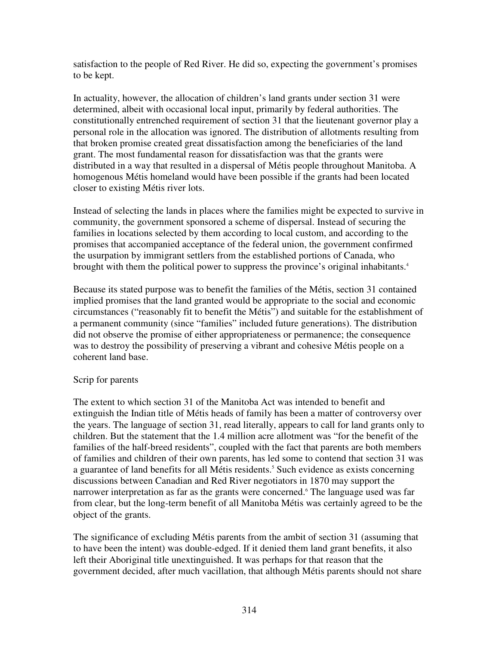satisfaction to the people of Red River. He did so, expecting the government's promises to be kept.

In actuality, however, the allocation of children's land grants under section 31 were determined, albeit with occasional local input, primarily by federal authorities. The constitutionally entrenched requirement of section 31 that the lieutenant governor play a personal role in the allocation was ignored. The distribution of allotments resulting from that broken promise created great dissatisfaction among the beneficiaries of the land grant. The most fundamental reason for dissatisfaction was that the grants were distributed in a way that resulted in a dispersal of Métis people throughout Manitoba. A homogenous Métis homeland would have been possible if the grants had been located closer to existing Métis river lots.

Instead of selecting the lands in places where the families might be expected to survive in community, the government sponsored a scheme of dispersal. Instead of securing the families in locations selected by them according to local custom, and according to the promises that accompanied acceptance of the federal union, the government confirmed the usurpation by immigrant settlers from the established portions of Canada, who brought with them the political power to suppress the province's original inhabitants. 4

Because its stated purpose was to benefit the families of the Métis, section 31 contained implied promises that the land granted would be appropriate to the social and economic circumstances ("reasonably fit to benefit the Métis") and suitable for the establishment of a permanent community (since "families" included future generations). The distribution did not observe the promise of either appropriateness or permanence; the consequence was to destroy the possibility of preserving a vibrant and cohesive Métis people on a coherent land base.

#### Scrip for parents

The extent to which section 31 of the Manitoba Act was intended to benefit and extinguish the Indian title of Métis heads of family has been a matter of controversy over the years. The language of section 31, read literally, appears to call for land grants only to children. But the statement that the 1.4 million acre allotment was "for the benefit of the families of the half-breed residents", coupled with the fact that parents are both members of families and children of their own parents, has led some to contend that section 31 was a guarantee of land benefits for all Métis residents. <sup>5</sup> Such evidence as exists concerning discussions between Canadian and Red River negotiators in 1870 may support the narrower interpretation as far as the grants were concerned. <sup>6</sup> The language used was far from clear, but the long-term benefit of all Manitoba Métis was certainly agreed to be the object of the grants.

The significance of excluding Métis parents from the ambit of section 31 (assuming that to have been the intent) was double-edged. If it denied them land grant benefits, it also left their Aboriginal title unextinguished. It was perhaps for that reason that the government decided, after much vacillation, that although Métis parents should not share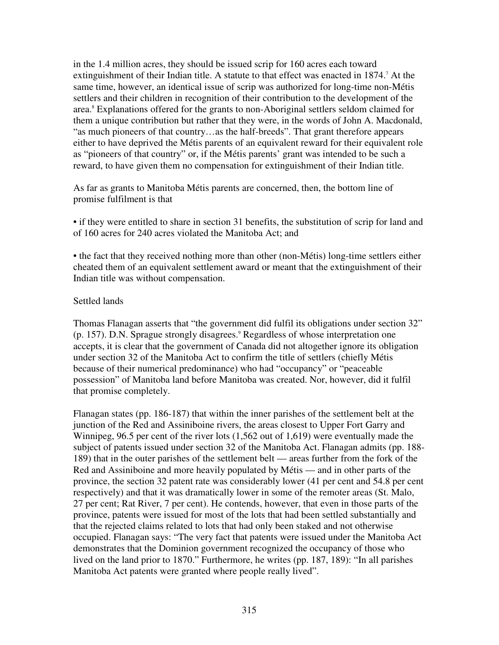in the 1.4 million acres, they should be issued scrip for 160 acres each toward extinguishment of their Indian title. A statute to that effect was enacted in 1874. <sup>7</sup> At the same time, however, an identical issue of scrip was authorized for long-time non-Métis settlers and their children in recognition of their contribution to the development of the area. <sup>8</sup> Explanations offered for the grants to non-Aboriginal settlers seldom claimed for them a unique contribution but rather that they were, in the words of John A. Macdonald, "as much pioneers of that country…as the half-breeds". That grant therefore appears either to have deprived the Métis parents of an equivalent reward for their equivalent role as "pioneers of that country" or, if the Métis parents' grant was intended to be such a reward, to have given them no compensation for extinguishment of their Indian title.

As far as grants to Manitoba Métis parents are concerned, then, the bottom line of promise fulfilment is that

• if they were entitled to share in section 31 benefits, the substitution of scrip for land and of 160 acres for 240 acres violated the Manitoba Act; and

• the fact that they received nothing more than other (non-Métis) long-time settlers either cheated them of an equivalent settlement award or meant that the extinguishment of their Indian title was without compensation.

#### Settled lands

Thomas Flanagan asserts that "the government did fulfil its obligations under section 32" (p. 157). D.N. Sprague strongly disagrees. <sup>9</sup> Regardless of whose interpretation one accepts, it is clear that the government of Canada did not altogether ignore its obligation under section 32 of the Manitoba Act to confirm the title of settlers (chiefly Métis because of their numerical predominance) who had "occupancy" or "peaceable possession" of Manitoba land before Manitoba was created. Nor, however, did it fulfil that promise completely.

Flanagan states (pp. 186-187) that within the inner parishes of the settlement belt at the junction of the Red and Assiniboine rivers, the areas closest to Upper Fort Garry and Winnipeg, 96.5 per cent of the river lots (1,562 out of 1,619) were eventually made the subject of patents issued under section 32 of the Manitoba Act. Flanagan admits (pp. 188- 189) that in the outer parishes of the settlement belt — areas further from the fork of the Red and Assiniboine and more heavily populated by Métis — and in other parts of the province, the section 32 patent rate was considerably lower (41 per cent and 54.8 per cent respectively) and that it was dramatically lower in some of the remoter areas (St. Malo, 27 per cent; Rat River, 7 per cent). He contends, however, that even in those parts of the province, patents were issued for most of the lots that had been settled substantially and that the rejected claims related to lots that had only been staked and not otherwise occupied. Flanagan says: "The very fact that patents were issued under the Manitoba Act demonstrates that the Dominion government recognized the occupancy of those who lived on the land prior to 1870." Furthermore, he writes (pp. 187, 189): "In all parishes Manitoba Act patents were granted where people really lived".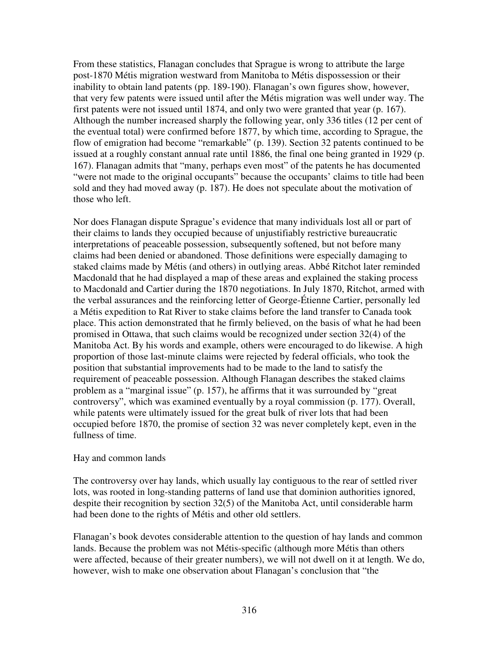From these statistics, Flanagan concludes that Sprague is wrong to attribute the large post-1870 Métis migration westward from Manitoba to Métis dispossession or their inability to obtain land patents (pp. 189-190). Flanagan's own figures show, however, that very few patents were issued until after the Métis migration was well under way. The first patents were not issued until 1874, and only two were granted that year (p. 167). Although the number increased sharply the following year, only 336 titles (12 per cent of the eventual total) were confirmed before 1877, by which time, according to Sprague, the flow of emigration had become "remarkable" (p. 139). Section 32 patents continued to be issued at a roughly constant annual rate until 1886, the final one being granted in 1929 (p. 167). Flanagan admits that "many, perhaps even most" of the patents he has documented "were not made to the original occupants" because the occupants' claims to title had been sold and they had moved away (p. 187). He does not speculate about the motivation of those who left.

Nor does Flanagan dispute Sprague's evidence that many individuals lost all or part of their claims to lands they occupied because of unjustifiably restrictive bureaucratic interpretations of peaceable possession, subsequently softened, but not before many claims had been denied or abandoned. Those definitions were especially damaging to staked claims made by Métis (and others) in outlying areas. Abbé Ritchot later reminded Macdonald that he had displayed a map of these areas and explained the staking process to Macdonald and Cartier during the 1870 negotiations. In July 1870, Ritchot, armed with the verbal assurances and the reinforcing letter of George-Étienne Cartier, personally led a Métis expedition to Rat River to stake claims before the land transfer to Canada took place. This action demonstrated that he firmly believed, on the basis of what he had been promised in Ottawa, that such claims would be recognized under section 32(4) of the Manitoba Act. By his words and example, others were encouraged to do likewise. A high proportion of those last-minute claims were rejected by federal officials, who took the position that substantial improvements had to be made to the land to satisfy the requirement of peaceable possession. Although Flanagan describes the staked claims problem as a "marginal issue" (p. 157), he affirms that it was surrounded by "great controversy", which was examined eventually by a royal commission (p. 177). Overall, while patents were ultimately issued for the great bulk of river lots that had been occupied before 1870, the promise of section 32 was never completely kept, even in the fullness of time.

#### Hay and common lands

The controversy over hay lands, which usually lay contiguous to the rear of settled river lots, was rooted in long-standing patterns of land use that dominion authorities ignored, despite their recognition by section 32(5) of the Manitoba Act, until considerable harm had been done to the rights of Métis and other old settlers.

Flanagan's book devotes considerable attention to the question of hay lands and common lands. Because the problem was not Métis-specific (although more Métis than others were affected, because of their greater numbers), we will not dwell on it at length. We do, however, wish to make one observation about Flanagan's conclusion that "the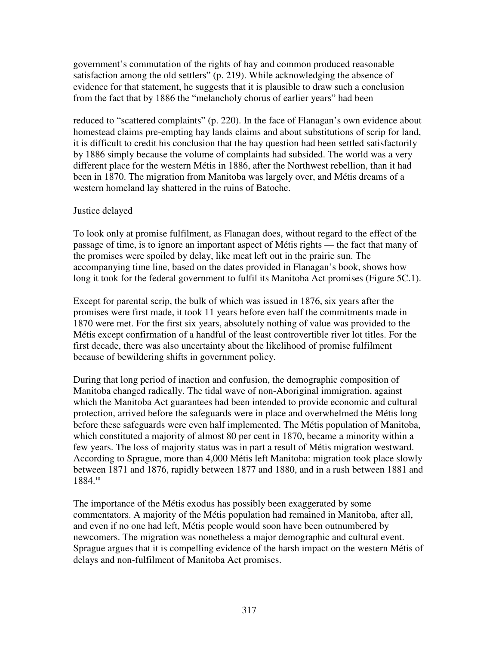government's commutation of the rights of hay and common produced reasonable satisfaction among the old settlers" (p. 219). While acknowledging the absence of evidence for that statement, he suggests that it is plausible to draw such a conclusion from the fact that by 1886 the "melancholy chorus of earlier years" had been

reduced to "scattered complaints" (p. 220). In the face of Flanagan's own evidence about homestead claims pre-empting hay lands claims and about substitutions of scrip for land, it is difficult to credit his conclusion that the hay question had been settled satisfactorily by 1886 simply because the volume of complaints had subsided. The world was a very different place for the western Métis in 1886, after the Northwest rebellion, than it had been in 1870. The migration from Manitoba was largely over, and Métis dreams of a western homeland lay shattered in the ruins of Batoche.

#### Justice delayed

To look only at promise fulfilment, as Flanagan does, without regard to the effect of the passage of time, is to ignore an important aspect of Métis rights — the fact that many of the promises were spoiled by delay, like meat left out in the prairie sun. The accompanying time line, based on the dates provided in Flanagan's book, shows how long it took for the federal government to fulfil its Manitoba Act promises (Figure 5C.1).

Except for parental scrip, the bulk of which was issued in 1876, six years after the promises were first made, it took 11 years before even half the commitments made in 1870 were met. For the first six years, absolutely nothing of value was provided to the Métis except confirmation of a handful of the least controvertible river lot titles. For the first decade, there was also uncertainty about the likelihood of promise fulfilment because of bewildering shifts in government policy.

During that long period of inaction and confusion, the demographic composition of Manitoba changed radically. The tidal wave of non-Aboriginal immigration, against which the Manitoba Act guarantees had been intended to provide economic and cultural protection, arrived before the safeguards were in place and overwhelmed the Métis long before these safeguards were even half implemented. The Métis population of Manitoba, which constituted a majority of almost 80 per cent in 1870, became a minority within a few years. The loss of majority status was in part a result of Métis migration westward. According to Sprague, more than 4,000 Métis left Manitoba: migration took place slowly between 1871 and 1876, rapidly between 1877 and 1880, and in a rush between 1881 and 1884. 10

The importance of the Métis exodus has possibly been exaggerated by some commentators. A majority of the Métis population had remained in Manitoba, after all, and even if no one had left, Métis people would soon have been outnumbered by newcomers. The migration was nonetheless a major demographic and cultural event. Sprague argues that it is compelling evidence of the harsh impact on the western Métis of delays and non-fulfilment of Manitoba Act promises.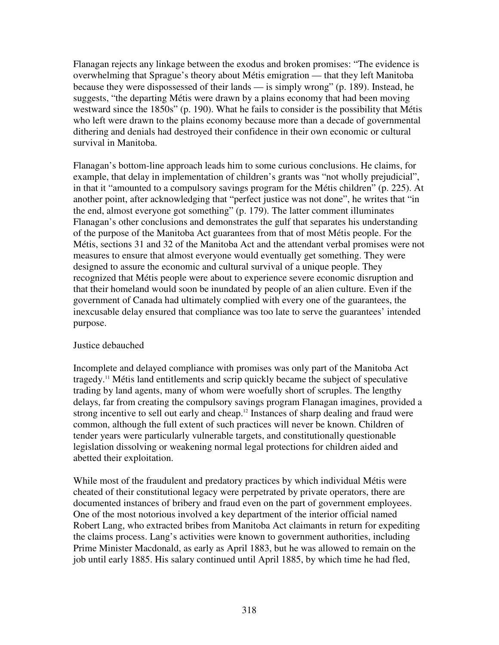Flanagan rejects any linkage between the exodus and broken promises: "The evidence is overwhelming that Sprague's theory about Métis emigration — that they left Manitoba because they were dispossessed of their lands — is simply wrong" (p. 189). Instead, he suggests, "the departing Métis were drawn by a plains economy that had been moving westward since the 1850s" (p. 190). What he fails to consider is the possibility that Métis who left were drawn to the plains economy because more than a decade of governmental dithering and denials had destroyed their confidence in their own economic or cultural survival in Manitoba.

Flanagan's bottom-line approach leads him to some curious conclusions. He claims, for example, that delay in implementation of children's grants was "not wholly prejudicial", in that it "amounted to a compulsory savings program for the Métis children" (p. 225). At another point, after acknowledging that "perfect justice was not done", he writes that "in the end, almost everyone got something" (p. 179). The latter comment illuminates Flanagan's other conclusions and demonstrates the gulf that separates his understanding of the purpose of the Manitoba Act guarantees from that of most Métis people. For the Métis, sections 31 and 32 of the Manitoba Act and the attendant verbal promises were not measures to ensure that almost everyone would eventually get something. They were designed to assure the economic and cultural survival of a unique people. They recognized that Métis people were about to experience severe economic disruption and that their homeland would soon be inundated by people of an alien culture. Even if the government of Canada had ultimately complied with every one of the guarantees, the inexcusable delay ensured that compliance was too late to serve the guarantees' intended purpose.

#### Justice debauched

Incomplete and delayed compliance with promises was only part of the Manitoba Act tragedy. <sup>11</sup> Métis land entitlements and scrip quickly became the subject of speculative trading by land agents, many of whom were woefully short of scruples. The lengthy delays, far from creating the compulsory savings program Flanagan imagines, provided a strong incentive to sell out early and cheap. 12 Instances of sharp dealing and fraud were common, although the full extent of such practices will never be known. Children of tender years were particularly vulnerable targets, and constitutionally questionable legislation dissolving or weakening normal legal protections for children aided and abetted their exploitation.

While most of the fraudulent and predatory practices by which individual Métis were cheated of their constitutional legacy were perpetrated by private operators, there are documented instances of bribery and fraud even on the part of government employees. One of the most notorious involved a key department of the interior official named Robert Lang, who extracted bribes from Manitoba Act claimants in return for expediting the claims process. Lang's activities were known to government authorities, including Prime Minister Macdonald, as early as April 1883, but he was allowed to remain on the job until early 1885. His salary continued until April 1885, by which time he had fled,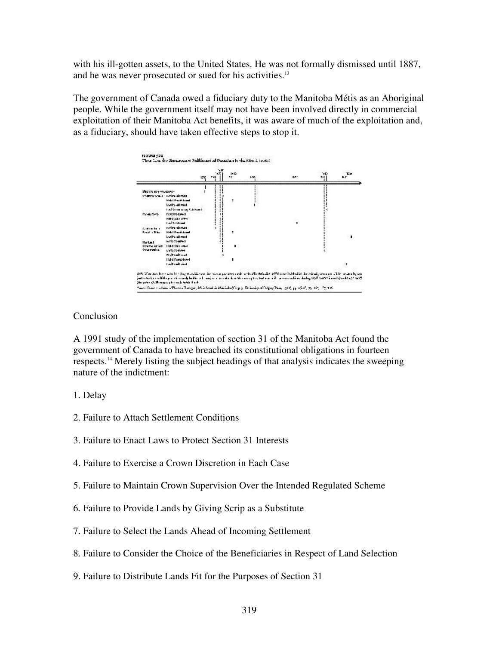with his ill-gotten assets, to the United States. He was not formally dismissed until 1887, and he was never prosecuted or sued for his activities.<sup>13</sup>

The government of Canada owed a fiduciary duty to the Manitoba Métis as an Aboriginal people. While the government itself may not have been involved directly in commercial exploitation of their Manitoba Act benefits, it was aware of much of the exploitation and, as a fiduciary, should have taken effective steps to stop it.



#### Conclusion

A 1991 study of the implementation of section 31 of the Manitoba Act found the government of Canada to have breached its constitutional obligations in fourteen respects. <sup>14</sup> Merely listing the subject headings of that analysis indicates the sweeping nature of the indictment:

- 1. Delay
- 2. Failure to Attach Settlement Conditions
- 3. Failure to Enact Laws to Protect Section 31 Interests
- 4. Failure to Exercise a Crown Discretion in Each Case
- 5. Failure to Maintain Crown Supervision Over the Intended Regulated Scheme
- 6. Failure to Provide Lands by Giving Scrip as a Substitute
- 7. Failure to Select the Lands Ahead of Incoming Settlement
- 8. Failure to Consider the Choice of the Beneficiaries in Respect of Land Selection
- 9. Failure to Distribute Lands Fit for the Purposes of Section 31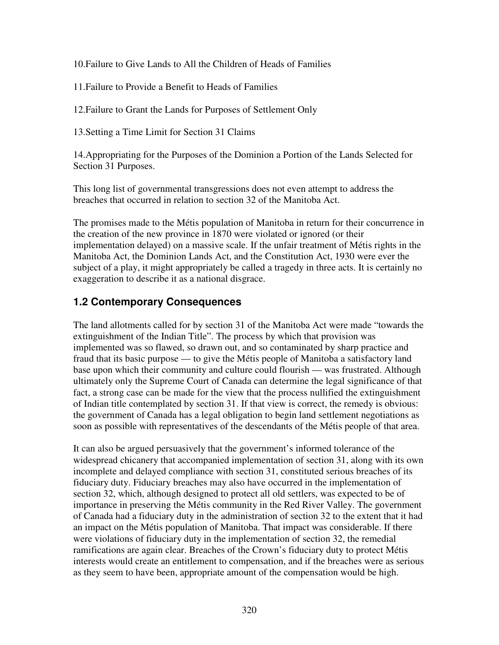10.Failure to Give Lands to All the Children of Heads of Families

11.Failure to Provide a Benefit to Heads of Families

12.Failure to Grant the Lands for Purposes of Settlement Only

13.Setting a Time Limit for Section 31 Claims

14.Appropriating for the Purposes of the Dominion a Portion of the Lands Selected for Section 31 Purposes.

This long list of governmental transgressions does not even attempt to address the breaches that occurred in relation to section 32 of the Manitoba Act.

The promises made to the Métis population of Manitoba in return for their concurrence in the creation of the new province in 1870 were violated or ignored (or their implementation delayed) on a massive scale. If the unfair treatment of Métis rights in the Manitoba Act, the Dominion Lands Act, and the Constitution Act, 1930 were ever the subject of a play, it might appropriately be called a tragedy in three acts. It is certainly no exaggeration to describe it as a national disgrace.

## **1.2 Contemporary Consequences**

The land allotments called for by section 31 of the Manitoba Act were made "towards the extinguishment of the Indian Title". The process by which that provision was implemented was so flawed, so drawn out, and so contaminated by sharp practice and fraud that its basic purpose — to give the Métis people of Manitoba a satisfactory land base upon which their community and culture could flourish — was frustrated. Although ultimately only the Supreme Court of Canada can determine the legal significance of that fact, a strong case can be made for the view that the process nullified the extinguishment of Indian title contemplated by section 31. If that view is correct, the remedy is obvious: the government of Canada has a legal obligation to begin land settlement negotiations as soon as possible with representatives of the descendants of the Métis people of that area.

It can also be argued persuasively that the government's informed tolerance of the widespread chicanery that accompanied implementation of section 31, along with its own incomplete and delayed compliance with section 31, constituted serious breaches of its fiduciary duty. Fiduciary breaches may also have occurred in the implementation of section 32, which, although designed to protect all old settlers, was expected to be of importance in preserving the Métis community in the Red River Valley. The government of Canada had a fiduciary duty in the administration of section 32 to the extent that it had an impact on the Métis population of Manitoba. That impact was considerable. If there were violations of fiduciary duty in the implementation of section 32, the remedial ramifications are again clear. Breaches of the Crown's fiduciary duty to protect Métis interests would create an entitlement to compensation, and if the breaches were as serious as they seem to have been, appropriate amount of the compensation would be high.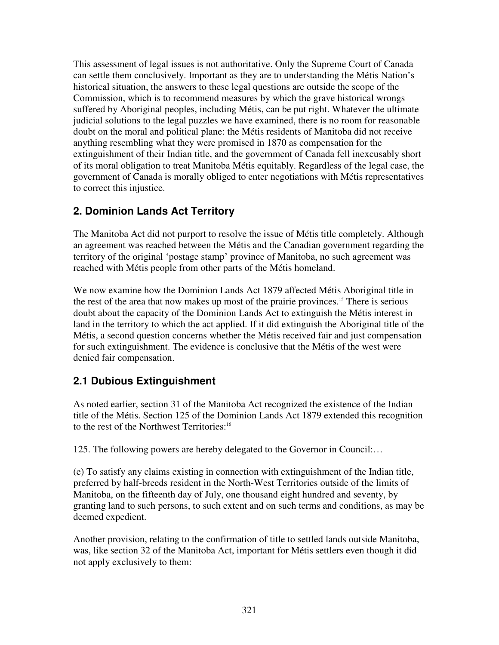This assessment of legal issues is not authoritative. Only the Supreme Court of Canada can settle them conclusively. Important as they are to understanding the Métis Nation's historical situation, the answers to these legal questions are outside the scope of the Commission, which is to recommend measures by which the grave historical wrongs suffered by Aboriginal peoples, including Métis, can be put right. Whatever the ultimate judicial solutions to the legal puzzles we have examined, there is no room for reasonable doubt on the moral and political plane: the Métis residents of Manitoba did not receive anything resembling what they were promised in 1870 as compensation for the extinguishment of their Indian title, and the government of Canada fell inexcusably short of its moral obligation to treat Manitoba Métis equitably. Regardless of the legal case, the government of Canada is morally obliged to enter negotiations with Métis representatives to correct this injustice.

# **2. Dominion Lands Act Territory**

The Manitoba Act did not purport to resolve the issue of Métis title completely. Although an agreement was reached between the Métis and the Canadian government regarding the territory of the original 'postage stamp' province of Manitoba, no such agreement was reached with Métis people from other parts of the Métis homeland.

We now examine how the Dominion Lands Act 1879 affected Métis Aboriginal title in the rest of the area that now makes up most of the prairie provinces. <sup>15</sup> There is serious doubt about the capacity of the Dominion Lands Act to extinguish the Métis interest in land in the territory to which the act applied. If it did extinguish the Aboriginal title of the Métis, a second question concerns whether the Métis received fair and just compensation for such extinguishment. The evidence is conclusive that the Métis of the west were denied fair compensation.

## **2.1 Dubious Extinguishment**

As noted earlier, section 31 of the Manitoba Act recognized the existence of the Indian title of the Métis. Section 125 of the Dominion Lands Act 1879 extended this recognition to the rest of the Northwest Territories: 16

125. The following powers are hereby delegated to the Governor in Council:…

(e) To satisfy any claims existing in connection with extinguishment of the Indian title, preferred by half-breeds resident in the North-West Territories outside of the limits of Manitoba, on the fifteenth day of July, one thousand eight hundred and seventy, by granting land to such persons, to such extent and on such terms and conditions, as may be deemed expedient.

Another provision, relating to the confirmation of title to settled lands outside Manitoba, was, like section 32 of the Manitoba Act, important for Métis settlers even though it did not apply exclusively to them: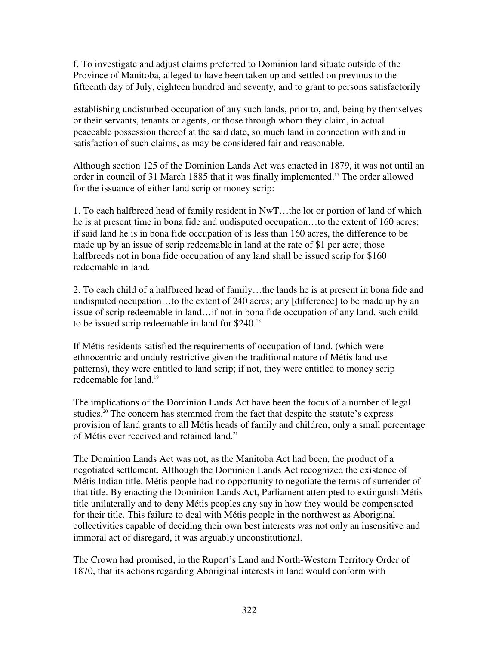f. To investigate and adjust claims preferred to Dominion land situate outside of the Province of Manitoba, alleged to have been taken up and settled on previous to the fifteenth day of July, eighteen hundred and seventy, and to grant to persons satisfactorily

establishing undisturbed occupation of any such lands, prior to, and, being by themselves or their servants, tenants or agents, or those through whom they claim, in actual peaceable possession thereof at the said date, so much land in connection with and in satisfaction of such claims, as may be considered fair and reasonable.

Although section 125 of the Dominion Lands Act was enacted in 1879, it was not until an order in council of 31 March 1885 that it was finally implemented. <sup>17</sup> The order allowed for the issuance of either land scrip or money scrip:

1. To each halfbreed head of family resident in NwT…the lot or portion of land of which he is at present time in bona fide and undisputed occupation…to the extent of 160 acres; if said land he is in bona fide occupation of is less than 160 acres, the difference to be made up by an issue of scrip redeemable in land at the rate of \$1 per acre; those halfbreeds not in bona fide occupation of any land shall be issued scrip for \$160 redeemable in land.

2. To each child of a halfbreed head of family…the lands he is at present in bona fide and undisputed occupation…to the extent of 240 acres; any [difference] to be made up by an issue of scrip redeemable in land…if not in bona fide occupation of any land, such child to be issued scrip redeemable in land for \$240. 18

If Métis residents satisfied the requirements of occupation of land, (which were ethnocentric and unduly restrictive given the traditional nature of Métis land use patterns), they were entitled to land scrip; if not, they were entitled to money scrip redeemable for land. 19

The implications of the Dominion Lands Act have been the focus of a number of legal studies.<sup>20</sup> The concern has stemmed from the fact that despite the statute's express provision of land grants to all Métis heads of family and children, only a small percentage of Métis ever received and retained land. 21

The Dominion Lands Act was not, as the Manitoba Act had been, the product of a negotiated settlement. Although the Dominion Lands Act recognized the existence of Métis Indian title, Métis people had no opportunity to negotiate the terms of surrender of that title. By enacting the Dominion Lands Act, Parliament attempted to extinguish Métis title unilaterally and to deny Métis peoples any say in how they would be compensated for their title. This failure to deal with Métis people in the northwest as Aboriginal collectivities capable of deciding their own best interests was not only an insensitive and immoral act of disregard, it was arguably unconstitutional.

The Crown had promised, in the Rupert's Land and North-Western Territory Order of 1870, that its actions regarding Aboriginal interests in land would conform with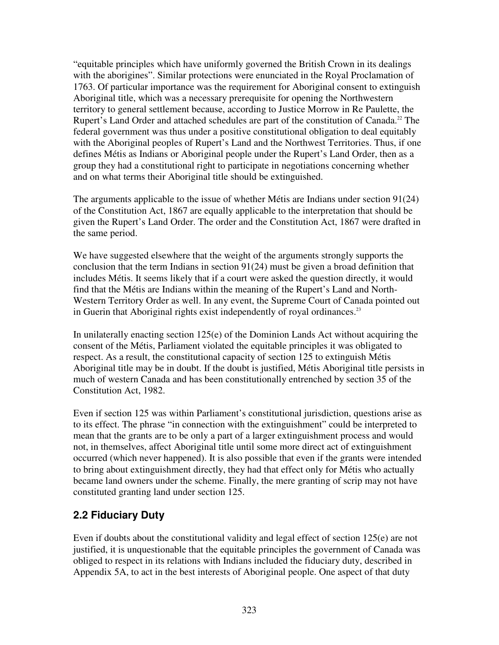"equitable principles which have uniformly governed the British Crown in its dealings with the aborigines". Similar protections were enunciated in the Royal Proclamation of 1763. Of particular importance was the requirement for Aboriginal consent to extinguish Aboriginal title, which was a necessary prerequisite for opening the Northwestern territory to general settlement because, according to Justice Morrow in Re Paulette, the Rupert's Land Order and attached schedules are part of the constitution of Canada.<sup>22</sup> The federal government was thus under a positive constitutional obligation to deal equitably with the Aboriginal peoples of Rupert's Land and the Northwest Territories. Thus, if one defines Métis as Indians or Aboriginal people under the Rupert's Land Order, then as a group they had a constitutional right to participate in negotiations concerning whether and on what terms their Aboriginal title should be extinguished.

The arguments applicable to the issue of whether Métis are Indians under section 91(24) of the Constitution Act, 1867 are equally applicable to the interpretation that should be given the Rupert's Land Order. The order and the Constitution Act, 1867 were drafted in the same period.

We have suggested elsewhere that the weight of the arguments strongly supports the conclusion that the term Indians in section 91(24) must be given a broad definition that includes Métis. It seems likely that if a court were asked the question directly, it would find that the Métis are Indians within the meaning of the Rupert's Land and North-Western Territory Order as well. In any event, the Supreme Court of Canada pointed out in Guerin that Aboriginal rights exist independently of royal ordinances.<sup>23</sup>

In unilaterally enacting section 125(e) of the Dominion Lands Act without acquiring the consent of the Métis, Parliament violated the equitable principles it was obligated to respect. As a result, the constitutional capacity of section 125 to extinguish Métis Aboriginal title may be in doubt. If the doubt is justified, Métis Aboriginal title persists in much of western Canada and has been constitutionally entrenched by section 35 of the Constitution Act, 1982.

Even if section 125 was within Parliament's constitutional jurisdiction, questions arise as to its effect. The phrase "in connection with the extinguishment" could be interpreted to mean that the grants are to be only a part of a larger extinguishment process and would not, in themselves, affect Aboriginal title until some more direct act of extinguishment occurred (which never happened). It is also possible that even if the grants were intended to bring about extinguishment directly, they had that effect only for Métis who actually became land owners under the scheme. Finally, the mere granting of scrip may not have constituted granting land under section 125.

## **2.2 Fiduciary Duty**

Even if doubts about the constitutional validity and legal effect of section 125(e) are not justified, it is unquestionable that the equitable principles the government of Canada was obliged to respect in its relations with Indians included the fiduciary duty, described in Appendix 5A, to act in the best interests of Aboriginal people. One aspect of that duty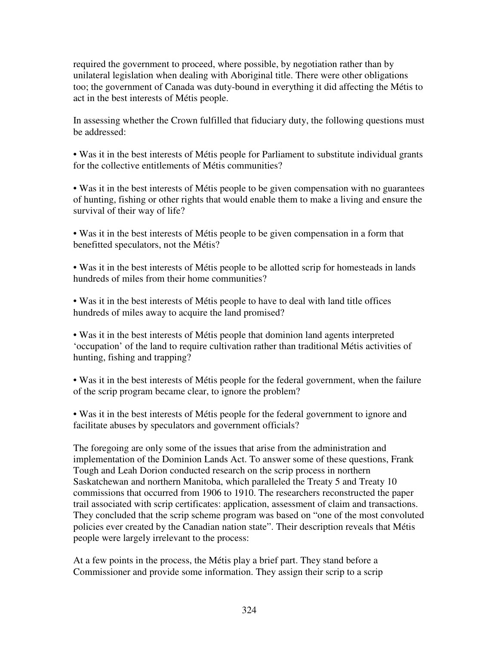required the government to proceed, where possible, by negotiation rather than by unilateral legislation when dealing with Aboriginal title. There were other obligations too; the government of Canada was duty-bound in everything it did affecting the Métis to act in the best interests of Métis people.

In assessing whether the Crown fulfilled that fiduciary duty, the following questions must be addressed:

• Was it in the best interests of Métis people for Parliament to substitute individual grants for the collective entitlements of Métis communities?

• Was it in the best interests of Métis people to be given compensation with no guarantees of hunting, fishing or other rights that would enable them to make a living and ensure the survival of their way of life?

• Was it in the best interests of Métis people to be given compensation in a form that benefitted speculators, not the Métis?

• Was it in the best interests of Métis people to be allotted scrip for homesteads in lands hundreds of miles from their home communities?

• Was it in the best interests of Métis people to have to deal with land title offices hundreds of miles away to acquire the land promised?

• Was it in the best interests of Métis people that dominion land agents interpreted 'occupation' of the land to require cultivation rather than traditional Métis activities of hunting, fishing and trapping?

• Was it in the best interests of Métis people for the federal government, when the failure of the scrip program became clear, to ignore the problem?

• Was it in the best interests of Métis people for the federal government to ignore and facilitate abuses by speculators and government officials?

The foregoing are only some of the issues that arise from the administration and implementation of the Dominion Lands Act. To answer some of these questions, Frank Tough and Leah Dorion conducted research on the scrip process in northern Saskatchewan and northern Manitoba, which paralleled the Treaty 5 and Treaty 10 commissions that occurred from 1906 to 1910. The researchers reconstructed the paper trail associated with scrip certificates: application, assessment of claim and transactions. They concluded that the scrip scheme program was based on "one of the most convoluted policies ever created by the Canadian nation state". Their description reveals that Métis people were largely irrelevant to the process:

At a few points in the process, the Métis play a brief part. They stand before a Commissioner and provide some information. They assign their scrip to a scrip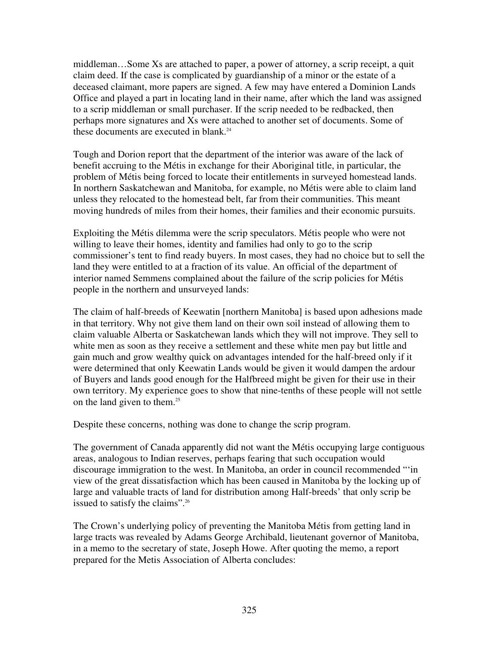middleman…Some Xs are attached to paper, a power of attorney, a scrip receipt, a quit claim deed. If the case is complicated by guardianship of a minor or the estate of a deceased claimant, more papers are signed. A few may have entered a Dominion Lands Office and played a part in locating land in their name, after which the land was assigned to a scrip middleman or small purchaser. If the scrip needed to be redbacked, then perhaps more signatures and Xs were attached to another set of documents. Some of these documents are executed in blank. 24

Tough and Dorion report that the department of the interior was aware of the lack of benefit accruing to the Métis in exchange for their Aboriginal title, in particular, the problem of Métis being forced to locate their entitlements in surveyed homestead lands. In northern Saskatchewan and Manitoba, for example, no Métis were able to claim land unless they relocated to the homestead belt, far from their communities. This meant moving hundreds of miles from their homes, their families and their economic pursuits.

Exploiting the Métis dilemma were the scrip speculators. Métis people who were not willing to leave their homes, identity and families had only to go to the scrip commissioner's tent to find ready buyers. In most cases, they had no choice but to sell the land they were entitled to at a fraction of its value. An official of the department of interior named Semmens complained about the failure of the scrip policies for Métis people in the northern and unsurveyed lands:

The claim of half-breeds of Keewatin [northern Manitoba] is based upon adhesions made in that territory. Why not give them land on their own soil instead of allowing them to claim valuable Alberta or Saskatchewan lands which they will not improve. They sell to white men as soon as they receive a settlement and these white men pay but little and gain much and grow wealthy quick on advantages intended for the half-breed only if it were determined that only Keewatin Lands would be given it would dampen the ardour of Buyers and lands good enough for the Halfbreed might be given for their use in their own territory. My experience goes to show that nine-tenths of these people will not settle on the land given to them. 25

Despite these concerns, nothing was done to change the scrip program.

The government of Canada apparently did not want the Métis occupying large contiguous areas, analogous to Indian reserves, perhaps fearing that such occupation would discourage immigration to the west. In Manitoba, an order in council recommended "'in view of the great dissatisfaction which has been caused in Manitoba by the locking up of large and valuable tracts of land for distribution among Half-breeds' that only scrip be issued to satisfy the claims". 26

The Crown's underlying policy of preventing the Manitoba Métis from getting land in large tracts was revealed by Adams George Archibald, lieutenant governor of Manitoba, in a memo to the secretary of state, Joseph Howe. After quoting the memo, a report prepared for the Metis Association of Alberta concludes: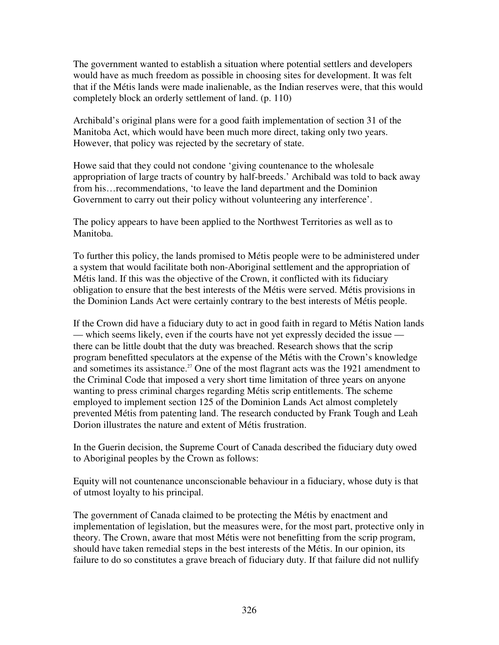The government wanted to establish a situation where potential settlers and developers would have as much freedom as possible in choosing sites for development. It was felt that if the Métis lands were made inalienable, as the Indian reserves were, that this would completely block an orderly settlement of land. (p. 110)

Archibald's original plans were for a good faith implementation of section 31 of the Manitoba Act, which would have been much more direct, taking only two years. However, that policy was rejected by the secretary of state.

Howe said that they could not condone 'giving countenance to the wholesale appropriation of large tracts of country by half-breeds.' Archibald was told to back away from his…recommendations, 'to leave the land department and the Dominion Government to carry out their policy without volunteering any interference'.

The policy appears to have been applied to the Northwest Territories as well as to Manitoba.

To further this policy, the lands promised to Métis people were to be administered under a system that would facilitate both non-Aboriginal settlement and the appropriation of Métis land. If this was the objective of the Crown, it conflicted with its fiduciary obligation to ensure that the best interests of the Métis were served. Métis provisions in the Dominion Lands Act were certainly contrary to the best interests of Métis people.

If the Crown did have a fiduciary duty to act in good faith in regard to Métis Nation lands — which seems likely, even if the courts have not yet expressly decided the issue there can be little doubt that the duty was breached. Research shows that the scrip program benefitted speculators at the expense of the Métis with the Crown's knowledge and sometimes its assistance.<sup>27</sup> One of the most flagrant acts was the 1921 amendment to the Criminal Code that imposed a very short time limitation of three years on anyone wanting to press criminal charges regarding Métis scrip entitlements. The scheme employed to implement section 125 of the Dominion Lands Act almost completely prevented Métis from patenting land. The research conducted by Frank Tough and Leah Dorion illustrates the nature and extent of Métis frustration.

In the Guerin decision, the Supreme Court of Canada described the fiduciary duty owed to Aboriginal peoples by the Crown as follows:

Equity will not countenance unconscionable behaviour in a fiduciary, whose duty is that of utmost loyalty to his principal.

The government of Canada claimed to be protecting the Métis by enactment and implementation of legislation, but the measures were, for the most part, protective only in theory. The Crown, aware that most Métis were not benefitting from the scrip program, should have taken remedial steps in the best interests of the Métis. In our opinion, its failure to do so constitutes a grave breach of fiduciary duty. If that failure did not nullify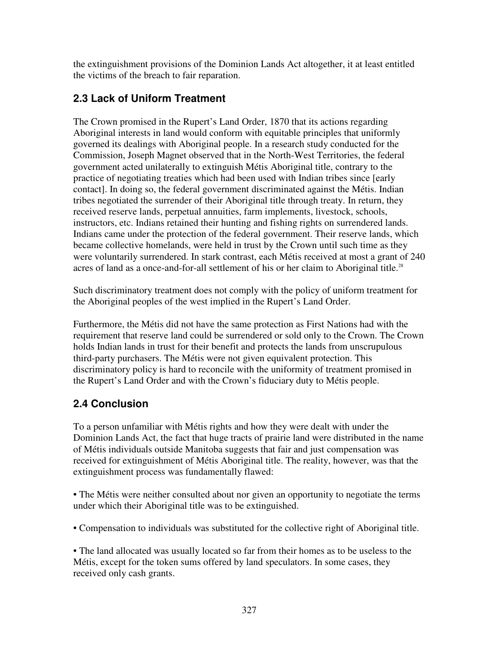the extinguishment provisions of the Dominion Lands Act altogether, it at least entitled the victims of the breach to fair reparation.

## **2.3 Lack of Uniform Treatment**

The Crown promised in the Rupert's Land Order, 1870 that its actions regarding Aboriginal interests in land would conform with equitable principles that uniformly governed its dealings with Aboriginal people. In a research study conducted for the Commission, Joseph Magnet observed that in the North-West Territories, the federal government acted unilaterally to extinguish Métis Aboriginal title, contrary to the practice of negotiating treaties which had been used with Indian tribes since [early contact]. In doing so, the federal government discriminated against the Métis. Indian tribes negotiated the surrender of their Aboriginal title through treaty. In return, they received reserve lands, perpetual annuities, farm implements, livestock, schools, instructors, etc. Indians retained their hunting and fishing rights on surrendered lands. Indians came under the protection of the federal government. Their reserve lands, which became collective homelands, were held in trust by the Crown until such time as they were voluntarily surrendered. In stark contrast, each Métis received at most a grant of 240 acres of land as a once-and-for-all settlement of his or her claim to Aboriginal title.<sup>28</sup>

Such discriminatory treatment does not comply with the policy of uniform treatment for the Aboriginal peoples of the west implied in the Rupert's Land Order.

Furthermore, the Métis did not have the same protection as First Nations had with the requirement that reserve land could be surrendered or sold only to the Crown. The Crown holds Indian lands in trust for their benefit and protects the lands from unscrupulous third-party purchasers. The Métis were not given equivalent protection. This discriminatory policy is hard to reconcile with the uniformity of treatment promised in the Rupert's Land Order and with the Crown's fiduciary duty to Métis people.

## **2.4 Conclusion**

To a person unfamiliar with Métis rights and how they were dealt with under the Dominion Lands Act, the fact that huge tracts of prairie land were distributed in the name of Métis individuals outside Manitoba suggests that fair and just compensation was received for extinguishment of Métis Aboriginal title. The reality, however, was that the extinguishment process was fundamentally flawed:

• The Métis were neither consulted about nor given an opportunity to negotiate the terms under which their Aboriginal title was to be extinguished.

• Compensation to individuals was substituted for the collective right of Aboriginal title.

• The land allocated was usually located so far from their homes as to be useless to the Métis, except for the token sums offered by land speculators. In some cases, they received only cash grants.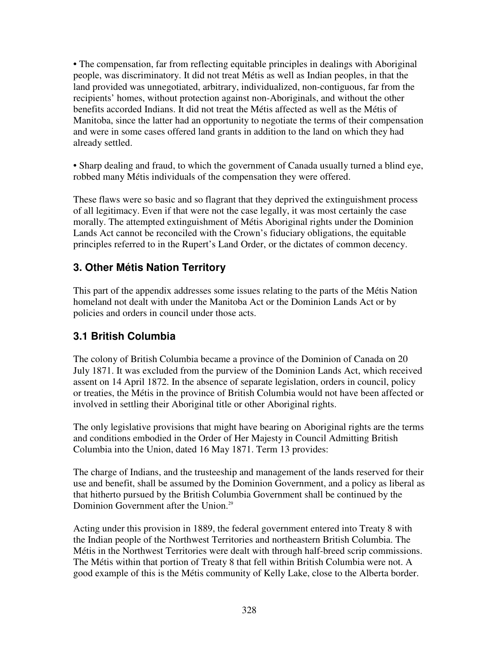• The compensation, far from reflecting equitable principles in dealings with Aboriginal people, was discriminatory. It did not treat Métis as well as Indian peoples, in that the land provided was unnegotiated, arbitrary, individualized, non-contiguous, far from the recipients' homes, without protection against non-Aboriginals, and without the other benefits accorded Indians. It did not treat the Métis affected as well as the Métis of Manitoba, since the latter had an opportunity to negotiate the terms of their compensation and were in some cases offered land grants in addition to the land on which they had already settled.

• Sharp dealing and fraud, to which the government of Canada usually turned a blind eye, robbed many Métis individuals of the compensation they were offered.

These flaws were so basic and so flagrant that they deprived the extinguishment process of all legitimacy. Even if that were not the case legally, it was most certainly the case morally. The attempted extinguishment of Métis Aboriginal rights under the Dominion Lands Act cannot be reconciled with the Crown's fiduciary obligations, the equitable principles referred to in the Rupert's Land Order, or the dictates of common decency.

## **3. Other Métis Nation Territory**

This part of the appendix addresses some issues relating to the parts of the Métis Nation homeland not dealt with under the Manitoba Act or the Dominion Lands Act or by policies and orders in council under those acts.

## **3.1 British Columbia**

The colony of British Columbia became a province of the Dominion of Canada on 20 July 1871. It was excluded from the purview of the Dominion Lands Act, which received assent on 14 April 1872. In the absence of separate legislation, orders in council, policy or treaties, the Métis in the province of British Columbia would not have been affected or involved in settling their Aboriginal title or other Aboriginal rights.

The only legislative provisions that might have bearing on Aboriginal rights are the terms and conditions embodied in the Order of Her Majesty in Council Admitting British Columbia into the Union, dated 16 May 1871. Term 13 provides:

The charge of Indians, and the trusteeship and management of the lands reserved for their use and benefit, shall be assumed by the Dominion Government, and a policy as liberal as that hitherto pursued by the British Columbia Government shall be continued by the Dominion Government after the Union. 29

Acting under this provision in 1889, the federal government entered into Treaty 8 with the Indian people of the Northwest Territories and northeastern British Columbia. The Métis in the Northwest Territories were dealt with through half-breed scrip commissions. The Métis within that portion of Treaty 8 that fell within British Columbia were not. A good example of this is the Métis community of Kelly Lake, close to the Alberta border.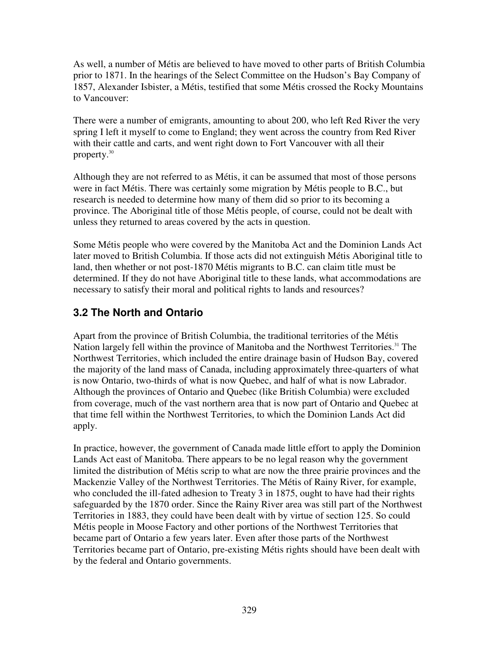As well, a number of Métis are believed to have moved to other parts of British Columbia prior to 1871. In the hearings of the Select Committee on the Hudson's Bay Company of 1857, Alexander Isbister, a Métis, testified that some Métis crossed the Rocky Mountains to Vancouver:

There were a number of emigrants, amounting to about 200, who left Red River the very spring I left it myself to come to England; they went across the country from Red River with their cattle and carts, and went right down to Fort Vancouver with all their property. 30

Although they are not referred to as Métis, it can be assumed that most of those persons were in fact Métis. There was certainly some migration by Métis people to B.C., but research is needed to determine how many of them did so prior to its becoming a province. The Aboriginal title of those Métis people, of course, could not be dealt with unless they returned to areas covered by the acts in question.

Some Métis people who were covered by the Manitoba Act and the Dominion Lands Act later moved to British Columbia. If those acts did not extinguish Métis Aboriginal title to land, then whether or not post-1870 Métis migrants to B.C. can claim title must be determined. If they do not have Aboriginal title to these lands, what accommodations are necessary to satisfy their moral and political rights to lands and resources?

# **3.2 The North and Ontario**

Apart from the province of British Columbia, the traditional territories of the Métis Nation largely fell within the province of Manitoba and the Northwest Territories.<sup>31</sup> The Northwest Territories, which included the entire drainage basin of Hudson Bay, covered the majority of the land mass of Canada, including approximately three-quarters of what is now Ontario, two-thirds of what is now Quebec, and half of what is now Labrador. Although the provinces of Ontario and Quebec (like British Columbia) were excluded from coverage, much of the vast northern area that is now part of Ontario and Quebec at that time fell within the Northwest Territories, to which the Dominion Lands Act did apply.

In practice, however, the government of Canada made little effort to apply the Dominion Lands Act east of Manitoba. There appears to be no legal reason why the government limited the distribution of Métis scrip to what are now the three prairie provinces and the Mackenzie Valley of the Northwest Territories. The Métis of Rainy River, for example, who concluded the ill-fated adhesion to Treaty 3 in 1875, ought to have had their rights safeguarded by the 1870 order. Since the Rainy River area was still part of the Northwest Territories in 1883, they could have been dealt with by virtue of section 125. So could Métis people in Moose Factory and other portions of the Northwest Territories that became part of Ontario a few years later. Even after those parts of the Northwest Territories became part of Ontario, pre-existing Métis rights should have been dealt with by the federal and Ontario governments.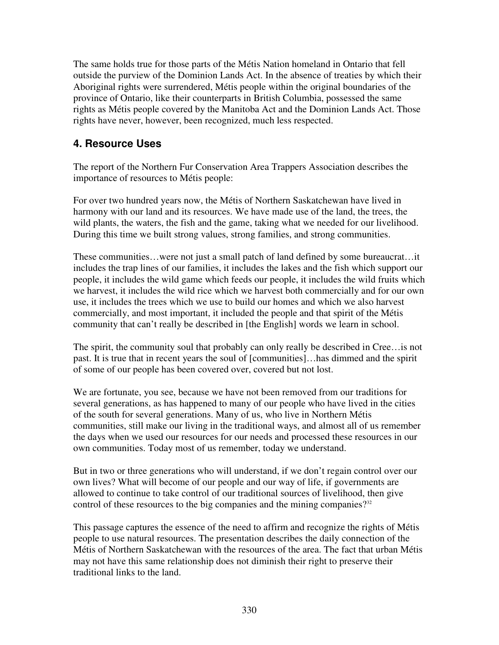The same holds true for those parts of the Métis Nation homeland in Ontario that fell outside the purview of the Dominion Lands Act. In the absence of treaties by which their Aboriginal rights were surrendered, Métis people within the original boundaries of the province of Ontario, like their counterparts in British Columbia, possessed the same rights as Métis people covered by the Manitoba Act and the Dominion Lands Act. Those rights have never, however, been recognized, much less respected.

## **4. Resource Uses**

The report of the Northern Fur Conservation Area Trappers Association describes the importance of resources to Métis people:

For over two hundred years now, the Métis of Northern Saskatchewan have lived in harmony with our land and its resources. We have made use of the land, the trees, the wild plants, the waters, the fish and the game, taking what we needed for our livelihood. During this time we built strong values, strong families, and strong communities.

These communities…were not just a small patch of land defined by some bureaucrat…it includes the trap lines of our families, it includes the lakes and the fish which support our people, it includes the wild game which feeds our people, it includes the wild fruits which we harvest, it includes the wild rice which we harvest both commercially and for our own use, it includes the trees which we use to build our homes and which we also harvest commercially, and most important, it included the people and that spirit of the Métis community that can't really be described in [the English] words we learn in school.

The spirit, the community soul that probably can only really be described in Cree…is not past. It is true that in recent years the soul of [communities]…has dimmed and the spirit of some of our people has been covered over, covered but not lost.

We are fortunate, you see, because we have not been removed from our traditions for several generations, as has happened to many of our people who have lived in the cities of the south for several generations. Many of us, who live in Northern Métis communities, still make our living in the traditional ways, and almost all of us remember the days when we used our resources for our needs and processed these resources in our own communities. Today most of us remember, today we understand.

But in two or three generations who will understand, if we don't regain control over our own lives? What will become of our people and our way of life, if governments are allowed to continue to take control of our traditional sources of livelihood, then give control of these resources to the big companies and the mining companies? 32

This passage captures the essence of the need to affirm and recognize the rights of Métis people to use natural resources. The presentation describes the daily connection of the Métis of Northern Saskatchewan with the resources of the area. The fact that urban Métis may not have this same relationship does not diminish their right to preserve their traditional links to the land.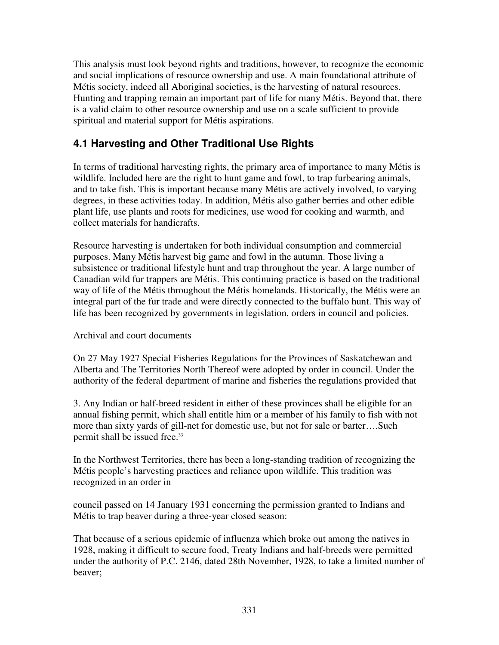This analysis must look beyond rights and traditions, however, to recognize the economic and social implications of resource ownership and use. A main foundational attribute of Métis society, indeed all Aboriginal societies, is the harvesting of natural resources. Hunting and trapping remain an important part of life for many Métis. Beyond that, there is a valid claim to other resource ownership and use on a scale sufficient to provide spiritual and material support for Métis aspirations.

## **4.1 Harvesting and Other Traditional Use Rights**

In terms of traditional harvesting rights, the primary area of importance to many Métis is wildlife. Included here are the right to hunt game and fowl, to trap furbearing animals, and to take fish. This is important because many Métis are actively involved, to varying degrees, in these activities today. In addition, Métis also gather berries and other edible plant life, use plants and roots for medicines, use wood for cooking and warmth, and collect materials for handicrafts.

Resource harvesting is undertaken for both individual consumption and commercial purposes. Many Métis harvest big game and fowl in the autumn. Those living a subsistence or traditional lifestyle hunt and trap throughout the year. A large number of Canadian wild fur trappers are Métis. This continuing practice is based on the traditional way of life of the Métis throughout the Métis homelands. Historically, the Métis were an integral part of the fur trade and were directly connected to the buffalo hunt. This way of life has been recognized by governments in legislation, orders in council and policies.

Archival and court documents

On 27 May 1927 Special Fisheries Regulations for the Provinces of Saskatchewan and Alberta and The Territories North Thereof were adopted by order in council. Under the authority of the federal department of marine and fisheries the regulations provided that

3. Any Indian or half-breed resident in either of these provinces shall be eligible for an annual fishing permit, which shall entitle him or a member of his family to fish with not more than sixty yards of gill-net for domestic use, but not for sale or barter….Such permit shall be issued free. 33

In the Northwest Territories, there has been a long-standing tradition of recognizing the Métis people's harvesting practices and reliance upon wildlife. This tradition was recognized in an order in

council passed on 14 January 1931 concerning the permission granted to Indians and Métis to trap beaver during a three-year closed season:

That because of a serious epidemic of influenza which broke out among the natives in 1928, making it difficult to secure food, Treaty Indians and half-breeds were permitted under the authority of P.C. 2146, dated 28th November, 1928, to take a limited number of beaver;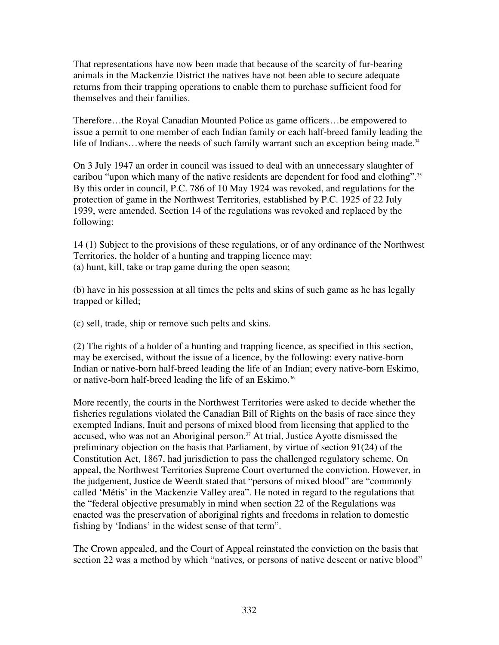That representations have now been made that because of the scarcity of fur-bearing animals in the Mackenzie District the natives have not been able to secure adequate returns from their trapping operations to enable them to purchase sufficient food for themselves and their families.

Therefore…the Royal Canadian Mounted Police as game officers…be empowered to issue a permit to one member of each Indian family or each half-breed family leading the life of Indians...where the needs of such family warrant such an exception being made.<sup>34</sup>

On 3 July 1947 an order in council was issued to deal with an unnecessary slaughter of caribou "upon which many of the native residents are dependent for food and clothing".<sup>35</sup> By this order in council, P.C. 786 of 10 May 1924 was revoked, and regulations for the protection of game in the Northwest Territories, established by P.C. 1925 of 22 July 1939, were amended. Section 14 of the regulations was revoked and replaced by the following:

14 (1) Subject to the provisions of these regulations, or of any ordinance of the Northwest Territories, the holder of a hunting and trapping licence may: (a) hunt, kill, take or trap game during the open season;

(b) have in his possession at all times the pelts and skins of such game as he has legally trapped or killed;

(c) sell, trade, ship or remove such pelts and skins.

(2) The rights of a holder of a hunting and trapping licence, as specified in this section, may be exercised, without the issue of a licence, by the following: every native-born Indian or native-born half-breed leading the life of an Indian; every native-born Eskimo, or native-born half-breed leading the life of an Eskimo.<sup>36</sup>

More recently, the courts in the Northwest Territories were asked to decide whether the fisheries regulations violated the Canadian Bill of Rights on the basis of race since they exempted Indians, Inuit and persons of mixed blood from licensing that applied to the accused, who was not an Aboriginal person. <sup>37</sup> At trial, Justice Ayotte dismissed the preliminary objection on the basis that Parliament, by virtue of section 91(24) of the Constitution Act, 1867, had jurisdiction to pass the challenged regulatory scheme. On appeal, the Northwest Territories Supreme Court overturned the conviction. However, in the judgement, Justice de Weerdt stated that "persons of mixed blood" are "commonly called 'Métis' in the Mackenzie Valley area". He noted in regard to the regulations that the "federal objective presumably in mind when section 22 of the Regulations was enacted was the preservation of aboriginal rights and freedoms in relation to domestic fishing by 'Indians' in the widest sense of that term".

The Crown appealed, and the Court of Appeal reinstated the conviction on the basis that section 22 was a method by which "natives, or persons of native descent or native blood"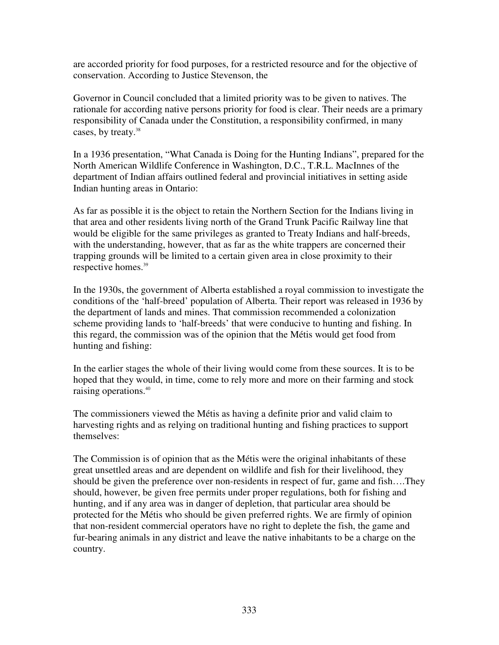are accorded priority for food purposes, for a restricted resource and for the objective of conservation. According to Justice Stevenson, the

Governor in Council concluded that a limited priority was to be given to natives. The rationale for according native persons priority for food is clear. Their needs are a primary responsibility of Canada under the Constitution, a responsibility confirmed, in many cases, by treaty. 38

In a 1936 presentation, "What Canada is Doing for the Hunting Indians", prepared for the North American Wildlife Conference in Washington, D.C., T.R.L. MacInnes of the department of Indian affairs outlined federal and provincial initiatives in setting aside Indian hunting areas in Ontario:

As far as possible it is the object to retain the Northern Section for the Indians living in that area and other residents living north of the Grand Trunk Pacific Railway line that would be eligible for the same privileges as granted to Treaty Indians and half-breeds, with the understanding, however, that as far as the white trappers are concerned their trapping grounds will be limited to a certain given area in close proximity to their respective homes. 39

In the 1930s, the government of Alberta established a royal commission to investigate the conditions of the 'half-breed' population of Alberta. Their report was released in 1936 by the department of lands and mines. That commission recommended a colonization scheme providing lands to 'half-breeds' that were conducive to hunting and fishing. In this regard, the commission was of the opinion that the Métis would get food from hunting and fishing:

In the earlier stages the whole of their living would come from these sources. It is to be hoped that they would, in time, come to rely more and more on their farming and stock raising operations. 40

The commissioners viewed the Métis as having a definite prior and valid claim to harvesting rights and as relying on traditional hunting and fishing practices to support themselves:

The Commission is of opinion that as the Métis were the original inhabitants of these great unsettled areas and are dependent on wildlife and fish for their livelihood, they should be given the preference over non-residents in respect of fur, game and fish….They should, however, be given free permits under proper regulations, both for fishing and hunting, and if any area was in danger of depletion, that particular area should be protected for the Métis who should be given preferred rights. We are firmly of opinion that non-resident commercial operators have no right to deplete the fish, the game and fur-bearing animals in any district and leave the native inhabitants to be a charge on the country.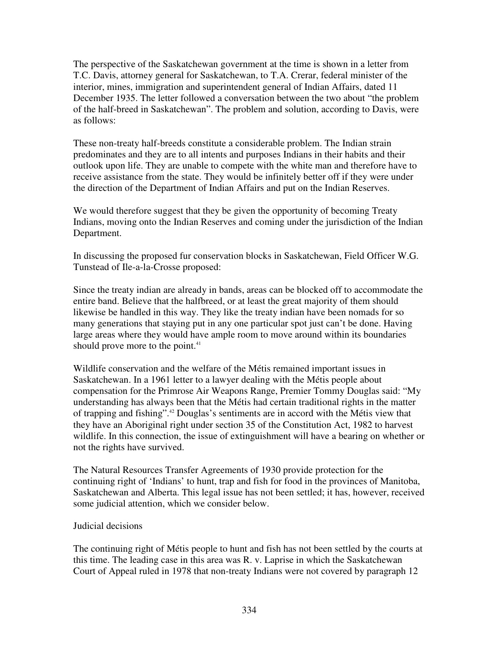The perspective of the Saskatchewan government at the time is shown in a letter from T.C. Davis, attorney general for Saskatchewan, to T.A. Crerar, federal minister of the interior, mines, immigration and superintendent general of Indian Affairs, dated 11 December 1935. The letter followed a conversation between the two about "the problem of the half-breed in Saskatchewan". The problem and solution, according to Davis, were as follows:

These non-treaty half-breeds constitute a considerable problem. The Indian strain predominates and they are to all intents and purposes Indians in their habits and their outlook upon life. They are unable to compete with the white man and therefore have to receive assistance from the state. They would be infinitely better off if they were under the direction of the Department of Indian Affairs and put on the Indian Reserves.

We would therefore suggest that they be given the opportunity of becoming Treaty Indians, moving onto the Indian Reserves and coming under the jurisdiction of the Indian Department.

In discussing the proposed fur conservation blocks in Saskatchewan, Field Officer W.G. Tunstead of Ile-a-la-Crosse proposed:

Since the treaty indian are already in bands, areas can be blocked off to accommodate the entire band. Believe that the halfbreed, or at least the great majority of them should likewise be handled in this way. They like the treaty indian have been nomads for so many generations that staying put in any one particular spot just can't be done. Having large areas where they would have ample room to move around within its boundaries should prove more to the point.<sup>41</sup>

Wildlife conservation and the welfare of the Métis remained important issues in Saskatchewan. In a 1961 letter to a lawyer dealing with the Métis people about compensation for the Primrose Air Weapons Range, Premier Tommy Douglas said: "My understanding has always been that the Métis had certain traditional rights in the matter of trapping and fishing". <sup>42</sup> Douglas's sentiments are in accord with the Métis view that they have an Aboriginal right under section 35 of the Constitution Act, 1982 to harvest wildlife. In this connection, the issue of extinguishment will have a bearing on whether or not the rights have survived.

The Natural Resources Transfer Agreements of 1930 provide protection for the continuing right of 'Indians' to hunt, trap and fish for food in the provinces of Manitoba, Saskatchewan and Alberta. This legal issue has not been settled; it has, however, received some judicial attention, which we consider below.

#### Judicial decisions

The continuing right of Métis people to hunt and fish has not been settled by the courts at this time. The leading case in this area was R. v. Laprise in which the Saskatchewan Court of Appeal ruled in 1978 that non-treaty Indians were not covered by paragraph 12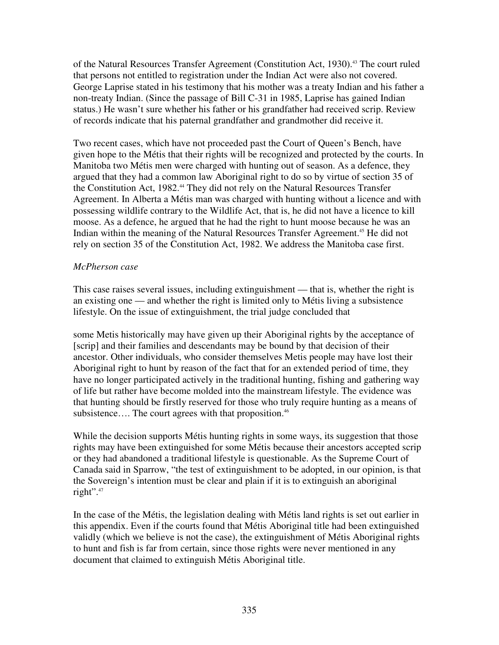of the Natural Resources Transfer Agreement (Constitution Act, 1930). <sup>43</sup> The court ruled that persons not entitled to registration under the Indian Act were also not covered. George Laprise stated in his testimony that his mother was a treaty Indian and his father a non-treaty Indian. (Since the passage of Bill C-31 in 1985, Laprise has gained Indian status.) He wasn't sure whether his father or his grandfather had received scrip. Review of records indicate that his paternal grandfather and grandmother did receive it.

Two recent cases, which have not proceeded past the Court of Queen's Bench, have given hope to the Métis that their rights will be recognized and protected by the courts. In Manitoba two Métis men were charged with hunting out of season. As a defence, they argued that they had a common law Aboriginal right to do so by virtue of section 35 of the Constitution Act, 1982. <sup>44</sup> They did not rely on the Natural Resources Transfer Agreement. In Alberta a Métis man was charged with hunting without a licence and with possessing wildlife contrary to the Wildlife Act, that is, he did not have a licence to kill moose. As a defence, he argued that he had the right to hunt moose because he was an Indian within the meaning of the Natural Resources Transfer Agreement. <sup>45</sup> He did not rely on section 35 of the Constitution Act, 1982. We address the Manitoba case first.

#### *McPherson case*

This case raises several issues, including extinguishment — that is, whether the right is an existing one — and whether the right is limited only to Métis living a subsistence lifestyle. On the issue of extinguishment, the trial judge concluded that

some Metis historically may have given up their Aboriginal rights by the acceptance of [scrip] and their families and descendants may be bound by that decision of their ancestor. Other individuals, who consider themselves Metis people may have lost their Aboriginal right to hunt by reason of the fact that for an extended period of time, they have no longer participated actively in the traditional hunting, fishing and gathering way of life but rather have become molded into the mainstream lifestyle. The evidence was that hunting should be firstly reserved for those who truly require hunting as a means of subsistence.... The court agrees with that proposition.<sup>46</sup>

While the decision supports Métis hunting rights in some ways, its suggestion that those rights may have been extinguished for some Métis because their ancestors accepted scrip or they had abandoned a traditional lifestyle is questionable. As the Supreme Court of Canada said in Sparrow, "the test of extinguishment to be adopted, in our opinion, is that the Sovereign's intention must be clear and plain if it is to extinguish an aboriginal right". 47

In the case of the Métis, the legislation dealing with Métis land rights is set out earlier in this appendix. Even if the courts found that Métis Aboriginal title had been extinguished validly (which we believe is not the case), the extinguishment of Métis Aboriginal rights to hunt and fish is far from certain, since those rights were never mentioned in any document that claimed to extinguish Métis Aboriginal title.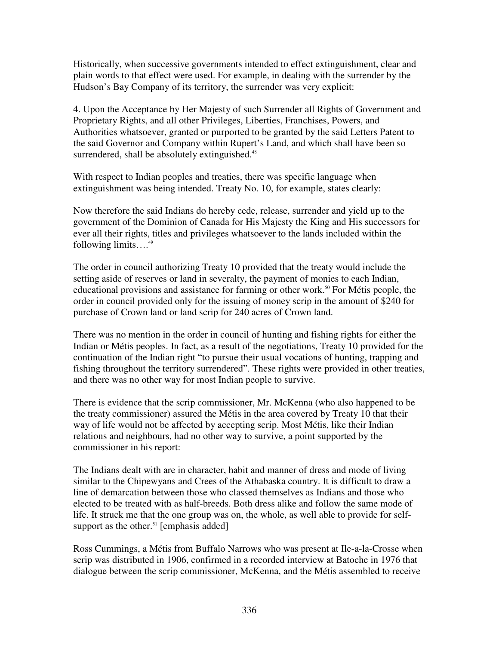Historically, when successive governments intended to effect extinguishment, clear and plain words to that effect were used. For example, in dealing with the surrender by the Hudson's Bay Company of its territory, the surrender was very explicit:

4. Upon the Acceptance by Her Majesty of such Surrender all Rights of Government and Proprietary Rights, and all other Privileges, Liberties, Franchises, Powers, and Authorities whatsoever, granted or purported to be granted by the said Letters Patent to the said Governor and Company within Rupert's Land, and which shall have been so surrendered, shall be absolutely extinguished.<sup>48</sup>

With respect to Indian peoples and treaties, there was specific language when extinguishment was being intended. Treaty No. 10, for example, states clearly:

Now therefore the said Indians do hereby cede, release, surrender and yield up to the government of the Dominion of Canada for His Majesty the King and His successors for ever all their rights, titles and privileges whatsoever to the lands included within the following limits…. 49

The order in council authorizing Treaty 10 provided that the treaty would include the setting aside of reserves or land in severalty, the payment of monies to each Indian, educational provisions and assistance for farming or other work. <sup>50</sup> For Métis people, the order in council provided only for the issuing of money scrip in the amount of \$240 for purchase of Crown land or land scrip for 240 acres of Crown land.

There was no mention in the order in council of hunting and fishing rights for either the Indian or Métis peoples. In fact, as a result of the negotiations, Treaty 10 provided for the continuation of the Indian right "to pursue their usual vocations of hunting, trapping and fishing throughout the territory surrendered". These rights were provided in other treaties, and there was no other way for most Indian people to survive.

There is evidence that the scrip commissioner, Mr. McKenna (who also happened to be the treaty commissioner) assured the Métis in the area covered by Treaty 10 that their way of life would not be affected by accepting scrip. Most Métis, like their Indian relations and neighbours, had no other way to survive, a point supported by the commissioner in his report:

The Indians dealt with are in character, habit and manner of dress and mode of living similar to the Chipewyans and Crees of the Athabaska country. It is difficult to draw a line of demarcation between those who classed themselves as Indians and those who elected to be treated with as half-breeds. Both dress alike and follow the same mode of life. It struck me that the one group was on, the whole, as well able to provide for selfsupport as the other.<sup>51</sup> [emphasis added]

Ross Cummings, a Métis from Buffalo Narrows who was present at Ile-a-la-Crosse when scrip was distributed in 1906, confirmed in a recorded interview at Batoche in 1976 that dialogue between the scrip commissioner, McKenna, and the Métis assembled to receive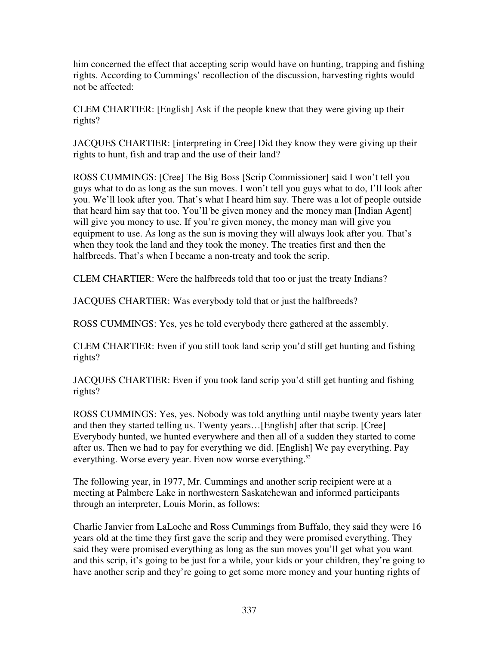him concerned the effect that accepting scrip would have on hunting, trapping and fishing rights. According to Cummings' recollection of the discussion, harvesting rights would not be affected:

CLEM CHARTIER: [English] Ask if the people knew that they were giving up their rights?

JACQUES CHARTIER: [interpreting in Cree] Did they know they were giving up their rights to hunt, fish and trap and the use of their land?

ROSS CUMMINGS: [Cree] The Big Boss [Scrip Commissioner] said I won't tell you guys what to do as long as the sun moves. I won't tell you guys what to do, I'll look after you. We'll look after you. That's what I heard him say. There was a lot of people outside that heard him say that too. You'll be given money and the money man [Indian Agent] will give you money to use. If you're given money, the money man will give you equipment to use. As long as the sun is moving they will always look after you. That's when they took the land and they took the money. The treaties first and then the halfbreeds. That's when I became a non-treaty and took the scrip.

CLEM CHARTIER: Were the halfbreeds told that too or just the treaty Indians?

JACQUES CHARTIER: Was everybody told that or just the halfbreeds?

ROSS CUMMINGS: Yes, yes he told everybody there gathered at the assembly.

CLEM CHARTIER: Even if you still took land scrip you'd still get hunting and fishing rights?

JACQUES CHARTIER: Even if you took land scrip you'd still get hunting and fishing rights?

ROSS CUMMINGS: Yes, yes. Nobody was told anything until maybe twenty years later and then they started telling us. Twenty years…[English] after that scrip. [Cree] Everybody hunted, we hunted everywhere and then all of a sudden they started to come after us. Then we had to pay for everything we did. [English] We pay everything. Pay everything. Worse every year. Even now worse everything.<sup>52</sup>

The following year, in 1977, Mr. Cummings and another scrip recipient were at a meeting at Palmbere Lake in northwestern Saskatchewan and informed participants through an interpreter, Louis Morin, as follows:

Charlie Janvier from LaLoche and Ross Cummings from Buffalo, they said they were 16 years old at the time they first gave the scrip and they were promised everything. They said they were promised everything as long as the sun moves you'll get what you want and this scrip, it's going to be just for a while, your kids or your children, they're going to have another scrip and they're going to get some more money and your hunting rights of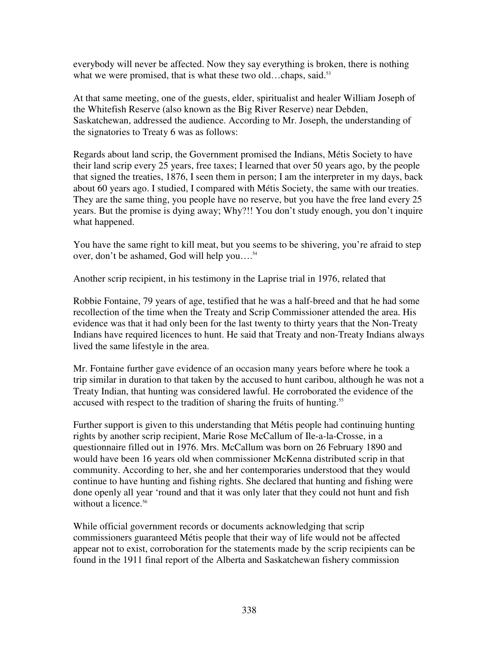everybody will never be affected. Now they say everything is broken, there is nothing what we were promised, that is what these two old...chaps, said.<sup>53</sup>

At that same meeting, one of the guests, elder, spiritualist and healer William Joseph of the Whitefish Reserve (also known as the Big River Reserve) near Debden, Saskatchewan, addressed the audience. According to Mr. Joseph, the understanding of the signatories to Treaty 6 was as follows:

Regards about land scrip, the Government promised the Indians, Métis Society to have their land scrip every 25 years, free taxes; I learned that over 50 years ago, by the people that signed the treaties, 1876, I seen them in person; I am the interpreter in my days, back about 60 years ago. I studied, I compared with Métis Society, the same with our treaties. They are the same thing, you people have no reserve, but you have the free land every 25 years. But the promise is dying away; Why?!! You don't study enough, you don't inquire what happened.

You have the same right to kill meat, but you seems to be shivering, you're afraid to step over, don't be ashamed, God will help you…. 54

Another scrip recipient, in his testimony in the Laprise trial in 1976, related that

Robbie Fontaine, 79 years of age, testified that he was a half-breed and that he had some recollection of the time when the Treaty and Scrip Commissioner attended the area. His evidence was that it had only been for the last twenty to thirty years that the Non-Treaty Indians have required licences to hunt. He said that Treaty and non-Treaty Indians always lived the same lifestyle in the area.

Mr. Fontaine further gave evidence of an occasion many years before where he took a trip similar in duration to that taken by the accused to hunt caribou, although he was not a Treaty Indian, that hunting was considered lawful. He corroborated the evidence of the accused with respect to the tradition of sharing the fruits of hunting.<sup>55</sup>

Further support is given to this understanding that Métis people had continuing hunting rights by another scrip recipient, Marie Rose McCallum of Ile-a-la-Crosse, in a questionnaire filled out in 1976. Mrs. McCallum was born on 26 February 1890 and would have been 16 years old when commissioner McKenna distributed scrip in that community. According to her, she and her contemporaries understood that they would continue to have hunting and fishing rights. She declared that hunting and fishing were done openly all year 'round and that it was only later that they could not hunt and fish without a licence. 56

While official government records or documents acknowledging that scrip commissioners guaranteed Métis people that their way of life would not be affected appear not to exist, corroboration for the statements made by the scrip recipients can be found in the 1911 final report of the Alberta and Saskatchewan fishery commission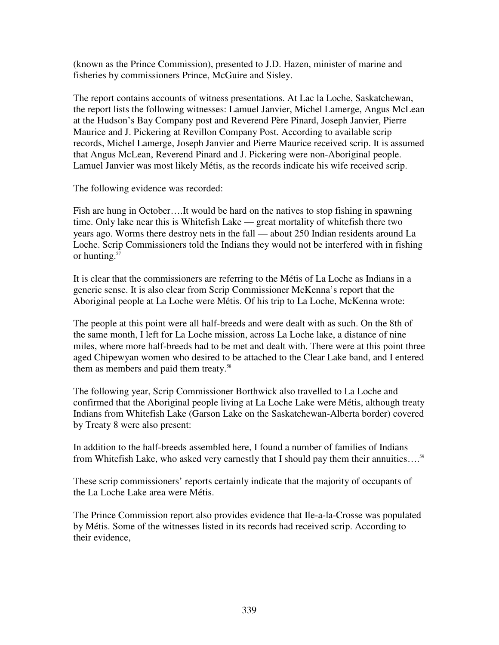(known as the Prince Commission), presented to J.D. Hazen, minister of marine and fisheries by commissioners Prince, McGuire and Sisley.

The report contains accounts of witness presentations. At Lac la Loche, Saskatchewan, the report lists the following witnesses: Lamuel Janvier, Michel Lamerge, Angus McLean at the Hudson's Bay Company post and Reverend Père Pinard, Joseph Janvier, Pierre Maurice and J. Pickering at Revillon Company Post. According to available scrip records, Michel Lamerge, Joseph Janvier and Pierre Maurice received scrip. It is assumed that Angus McLean, Reverend Pinard and J. Pickering were non-Aboriginal people. Lamuel Janvier was most likely Métis, as the records indicate his wife received scrip.

The following evidence was recorded:

Fish are hung in October….It would be hard on the natives to stop fishing in spawning time. Only lake near this is Whitefish Lake — great mortality of whitefish there two years ago. Worms there destroy nets in the fall — about 250 Indian residents around La Loche. Scrip Commissioners told the Indians they would not be interfered with in fishing or hunting. 57

It is clear that the commissioners are referring to the Métis of La Loche as Indians in a generic sense. It is also clear from Scrip Commissioner McKenna's report that the Aboriginal people at La Loche were Métis. Of his trip to La Loche, McKenna wrote:

The people at this point were all half-breeds and were dealt with as such. On the 8th of the same month, I left for La Loche mission, across La Loche lake, a distance of nine miles, where more half-breeds had to be met and dealt with. There were at this point three aged Chipewyan women who desired to be attached to the Clear Lake band, and I entered them as members and paid them treaty. 58

The following year, Scrip Commissioner Borthwick also travelled to La Loche and confirmed that the Aboriginal people living at La Loche Lake were Métis, although treaty Indians from Whitefish Lake (Garson Lake on the Saskatchewan-Alberta border) covered by Treaty 8 were also present:

In addition to the half-breeds assembled here, I found a number of families of Indians from Whitefish Lake, who asked very earnestly that I should pay them their annuities…. 59

These scrip commissioners' reports certainly indicate that the majority of occupants of the La Loche Lake area were Métis.

The Prince Commission report also provides evidence that Ile-a-la-Crosse was populated by Métis. Some of the witnesses listed in its records had received scrip. According to their evidence,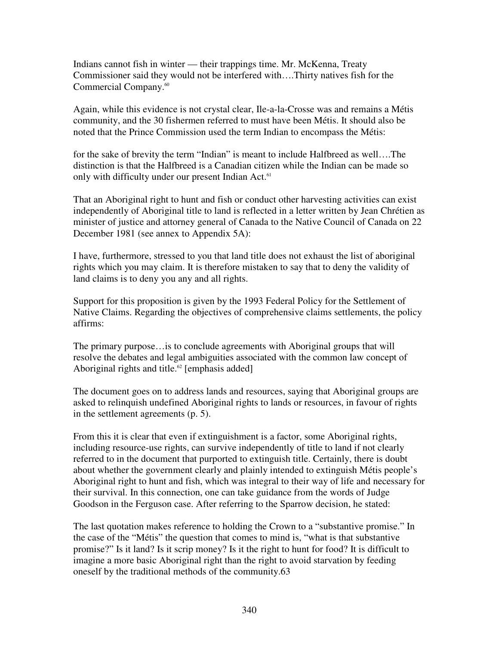Indians cannot fish in winter — their trappings time. Mr. McKenna, Treaty Commissioner said they would not be interfered with….Thirty natives fish for the Commercial Company. 60

Again, while this evidence is not crystal clear, Ile-a-la-Crosse was and remains a Métis community, and the 30 fishermen referred to must have been Métis. It should also be noted that the Prince Commission used the term Indian to encompass the Métis:

for the sake of brevity the term "Indian" is meant to include Halfbreed as well….The distinction is that the Halfbreed is a Canadian citizen while the Indian can be made so only with difficulty under our present Indian Act.<sup>61</sup>

That an Aboriginal right to hunt and fish or conduct other harvesting activities can exist independently of Aboriginal title to land is reflected in a letter written by Jean Chrétien as minister of justice and attorney general of Canada to the Native Council of Canada on 22 December 1981 (see annex to Appendix 5A):

I have, furthermore, stressed to you that land title does not exhaust the list of aboriginal rights which you may claim. It is therefore mistaken to say that to deny the validity of land claims is to deny you any and all rights.

Support for this proposition is given by the 1993 Federal Policy for the Settlement of Native Claims. Regarding the objectives of comprehensive claims settlements, the policy affirms:

The primary purpose…is to conclude agreements with Aboriginal groups that will resolve the debates and legal ambiguities associated with the common law concept of Aboriginal rights and title.<sup>62</sup> [emphasis added]

The document goes on to address lands and resources, saying that Aboriginal groups are asked to relinquish undefined Aboriginal rights to lands or resources, in favour of rights in the settlement agreements (p. 5).

From this it is clear that even if extinguishment is a factor, some Aboriginal rights, including resource-use rights, can survive independently of title to land if not clearly referred to in the document that purported to extinguish title. Certainly, there is doubt about whether the government clearly and plainly intended to extinguish Métis people's Aboriginal right to hunt and fish, which was integral to their way of life and necessary for their survival. In this connection, one can take guidance from the words of Judge Goodson in the Ferguson case. After referring to the Sparrow decision, he stated:

The last quotation makes reference to holding the Crown to a "substantive promise." In the case of the "Métis" the question that comes to mind is, "what is that substantive promise?" Is it land? Is it scrip money? Is it the right to hunt for food? It is difficult to imagine a more basic Aboriginal right than the right to avoid starvation by feeding oneself by the traditional methods of the community.63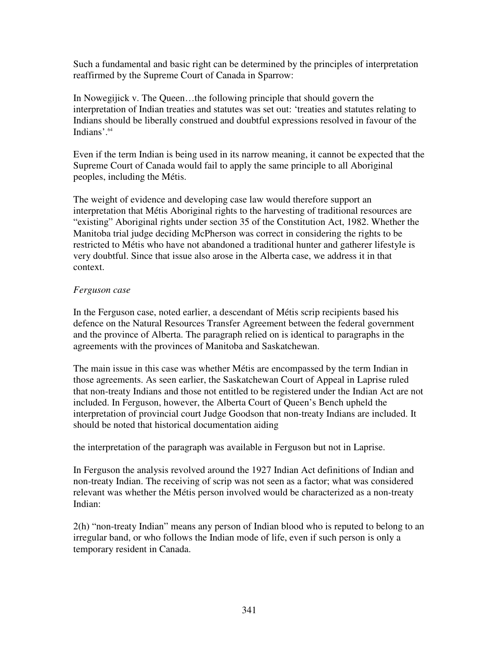Such a fundamental and basic right can be determined by the principles of interpretation reaffirmed by the Supreme Court of Canada in Sparrow:

In Nowegijick v. The Queen…the following principle that should govern the interpretation of Indian treaties and statutes was set out: 'treaties and statutes relating to Indians should be liberally construed and doubtful expressions resolved in favour of the Indians'. 64

Even if the term Indian is being used in its narrow meaning, it cannot be expected that the Supreme Court of Canada would fail to apply the same principle to all Aboriginal peoples, including the Métis.

The weight of evidence and developing case law would therefore support an interpretation that Métis Aboriginal rights to the harvesting of traditional resources are "existing" Aboriginal rights under section 35 of the Constitution Act, 1982. Whether the Manitoba trial judge deciding McPherson was correct in considering the rights to be restricted to Métis who have not abandoned a traditional hunter and gatherer lifestyle is very doubtful. Since that issue also arose in the Alberta case, we address it in that context.

#### *Ferguson case*

In the Ferguson case, noted earlier, a descendant of Métis scrip recipients based his defence on the Natural Resources Transfer Agreement between the federal government and the province of Alberta. The paragraph relied on is identical to paragraphs in the agreements with the provinces of Manitoba and Saskatchewan.

The main issue in this case was whether Métis are encompassed by the term Indian in those agreements. As seen earlier, the Saskatchewan Court of Appeal in Laprise ruled that non-treaty Indians and those not entitled to be registered under the Indian Act are not included. In Ferguson, however, the Alberta Court of Queen's Bench upheld the interpretation of provincial court Judge Goodson that non-treaty Indians are included. It should be noted that historical documentation aiding

the interpretation of the paragraph was available in Ferguson but not in Laprise.

In Ferguson the analysis revolved around the 1927 Indian Act definitions of Indian and non-treaty Indian. The receiving of scrip was not seen as a factor; what was considered relevant was whether the Métis person involved would be characterized as a non-treaty Indian:

2(h) "non-treaty Indian" means any person of Indian blood who is reputed to belong to an irregular band, or who follows the Indian mode of life, even if such person is only a temporary resident in Canada.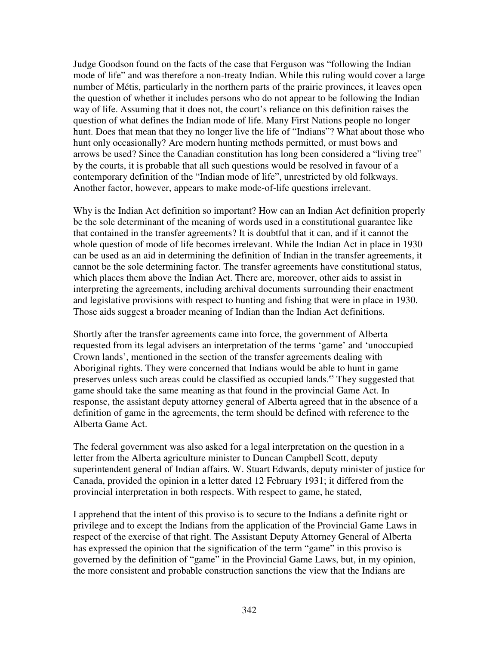Judge Goodson found on the facts of the case that Ferguson was "following the Indian mode of life" and was therefore a non-treaty Indian. While this ruling would cover a large number of Métis, particularly in the northern parts of the prairie provinces, it leaves open the question of whether it includes persons who do not appear to be following the Indian way of life. Assuming that it does not, the court's reliance on this definition raises the question of what defines the Indian mode of life. Many First Nations people no longer hunt. Does that mean that they no longer live the life of "Indians"? What about those who hunt only occasionally? Are modern hunting methods permitted, or must bows and arrows be used? Since the Canadian constitution has long been considered a "living tree" by the courts, it is probable that all such questions would be resolved in favour of a contemporary definition of the "Indian mode of life", unrestricted by old folkways. Another factor, however, appears to make mode-of-life questions irrelevant.

Why is the Indian Act definition so important? How can an Indian Act definition properly be the sole determinant of the meaning of words used in a constitutional guarantee like that contained in the transfer agreements? It is doubtful that it can, and if it cannot the whole question of mode of life becomes irrelevant. While the Indian Act in place in 1930 can be used as an aid in determining the definition of Indian in the transfer agreements, it cannot be the sole determining factor. The transfer agreements have constitutional status, which places them above the Indian Act. There are, moreover, other aids to assist in interpreting the agreements, including archival documents surrounding their enactment and legislative provisions with respect to hunting and fishing that were in place in 1930. Those aids suggest a broader meaning of Indian than the Indian Act definitions.

Shortly after the transfer agreements came into force, the government of Alberta requested from its legal advisers an interpretation of the terms 'game' and 'unoccupied Crown lands', mentioned in the section of the transfer agreements dealing with Aboriginal rights. They were concerned that Indians would be able to hunt in game preserves unless such areas could be classified as occupied lands. <sup>65</sup> They suggested that game should take the same meaning as that found in the provincial Game Act. In response, the assistant deputy attorney general of Alberta agreed that in the absence of a definition of game in the agreements, the term should be defined with reference to the Alberta Game Act.

The federal government was also asked for a legal interpretation on the question in a letter from the Alberta agriculture minister to Duncan Campbell Scott, deputy superintendent general of Indian affairs. W. Stuart Edwards, deputy minister of justice for Canada, provided the opinion in a letter dated 12 February 1931; it differed from the provincial interpretation in both respects. With respect to game, he stated,

I apprehend that the intent of this proviso is to secure to the Indians a definite right or privilege and to except the Indians from the application of the Provincial Game Laws in respect of the exercise of that right. The Assistant Deputy Attorney General of Alberta has expressed the opinion that the signification of the term "game" in this proviso is governed by the definition of "game" in the Provincial Game Laws, but, in my opinion, the more consistent and probable construction sanctions the view that the Indians are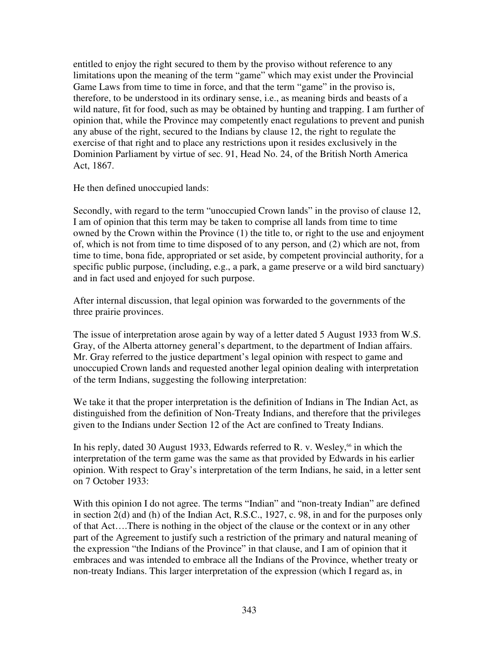entitled to enjoy the right secured to them by the proviso without reference to any limitations upon the meaning of the term "game" which may exist under the Provincial Game Laws from time to time in force, and that the term "game" in the proviso is, therefore, to be understood in its ordinary sense, i.e., as meaning birds and beasts of a wild nature, fit for food, such as may be obtained by hunting and trapping. I am further of opinion that, while the Province may competently enact regulations to prevent and punish any abuse of the right, secured to the Indians by clause 12, the right to regulate the exercise of that right and to place any restrictions upon it resides exclusively in the Dominion Parliament by virtue of sec. 91, Head No. 24, of the British North America Act, 1867.

He then defined unoccupied lands:

Secondly, with regard to the term "unoccupied Crown lands" in the proviso of clause 12, I am of opinion that this term may be taken to comprise all lands from time to time owned by the Crown within the Province (1) the title to, or right to the use and enjoyment of, which is not from time to time disposed of to any person, and (2) which are not, from time to time, bona fide, appropriated or set aside, by competent provincial authority, for a specific public purpose, (including, e.g., a park, a game preserve or a wild bird sanctuary) and in fact used and enjoyed for such purpose.

After internal discussion, that legal opinion was forwarded to the governments of the three prairie provinces.

The issue of interpretation arose again by way of a letter dated 5 August 1933 from W.S. Gray, of the Alberta attorney general's department, to the department of Indian affairs. Mr. Gray referred to the justice department's legal opinion with respect to game and unoccupied Crown lands and requested another legal opinion dealing with interpretation of the term Indians, suggesting the following interpretation:

We take it that the proper interpretation is the definition of Indians in The Indian Act, as distinguished from the definition of Non-Treaty Indians, and therefore that the privileges given to the Indians under Section 12 of the Act are confined to Treaty Indians.

In his reply, dated 30 August 1933, Edwards referred to R. v. Wesley,<sup>66</sup> in which the interpretation of the term game was the same as that provided by Edwards in his earlier opinion. With respect to Gray's interpretation of the term Indians, he said, in a letter sent on 7 October 1933:

With this opinion I do not agree. The terms "Indian" and "non-treaty Indian" are defined in section 2(d) and (h) of the Indian Act, R.S.C., 1927, c. 98, in and for the purposes only of that Act….There is nothing in the object of the clause or the context or in any other part of the Agreement to justify such a restriction of the primary and natural meaning of the expression "the Indians of the Province" in that clause, and I am of opinion that it embraces and was intended to embrace all the Indians of the Province, whether treaty or non-treaty Indians. This larger interpretation of the expression (which I regard as, in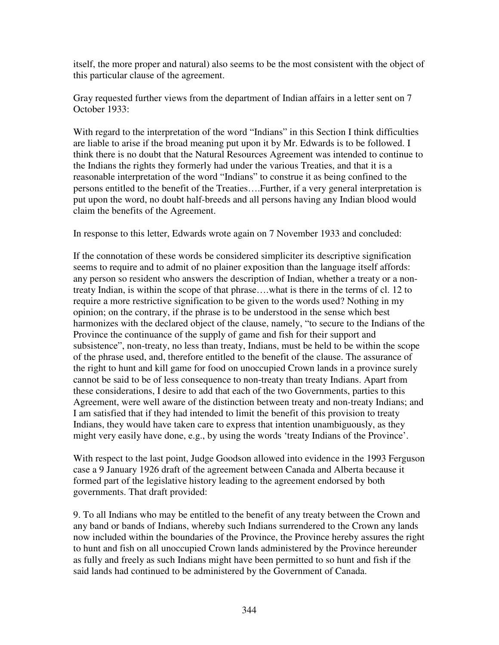itself, the more proper and natural) also seems to be the most consistent with the object of this particular clause of the agreement.

Gray requested further views from the department of Indian affairs in a letter sent on 7 October 1933:

With regard to the interpretation of the word "Indians" in this Section I think difficulties are liable to arise if the broad meaning put upon it by Mr. Edwards is to be followed. I think there is no doubt that the Natural Resources Agreement was intended to continue to the Indians the rights they formerly had under the various Treaties, and that it is a reasonable interpretation of the word "Indians" to construe it as being confined to the persons entitled to the benefit of the Treaties….Further, if a very general interpretation is put upon the word, no doubt half-breeds and all persons having any Indian blood would claim the benefits of the Agreement.

In response to this letter, Edwards wrote again on 7 November 1933 and concluded:

If the connotation of these words be considered simpliciter its descriptive signification seems to require and to admit of no plainer exposition than the language itself affords: any person so resident who answers the description of Indian, whether a treaty or a nontreaty Indian, is within the scope of that phrase….what is there in the terms of cl. 12 to require a more restrictive signification to be given to the words used? Nothing in my opinion; on the contrary, if the phrase is to be understood in the sense which best harmonizes with the declared object of the clause, namely, "to secure to the Indians of the Province the continuance of the supply of game and fish for their support and subsistence", non-treaty, no less than treaty, Indians, must be held to be within the scope of the phrase used, and, therefore entitled to the benefit of the clause. The assurance of the right to hunt and kill game for food on unoccupied Crown lands in a province surely cannot be said to be of less consequence to non-treaty than treaty Indians. Apart from these considerations, I desire to add that each of the two Governments, parties to this Agreement, were well aware of the distinction between treaty and non-treaty Indians; and I am satisfied that if they had intended to limit the benefit of this provision to treaty Indians, they would have taken care to express that intention unambiguously, as they might very easily have done, e.g., by using the words 'treaty Indians of the Province'.

With respect to the last point, Judge Goodson allowed into evidence in the 1993 Ferguson case a 9 January 1926 draft of the agreement between Canada and Alberta because it formed part of the legislative history leading to the agreement endorsed by both governments. That draft provided:

9. To all Indians who may be entitled to the benefit of any treaty between the Crown and any band or bands of Indians, whereby such Indians surrendered to the Crown any lands now included within the boundaries of the Province, the Province hereby assures the right to hunt and fish on all unoccupied Crown lands administered by the Province hereunder as fully and freely as such Indians might have been permitted to so hunt and fish if the said lands had continued to be administered by the Government of Canada.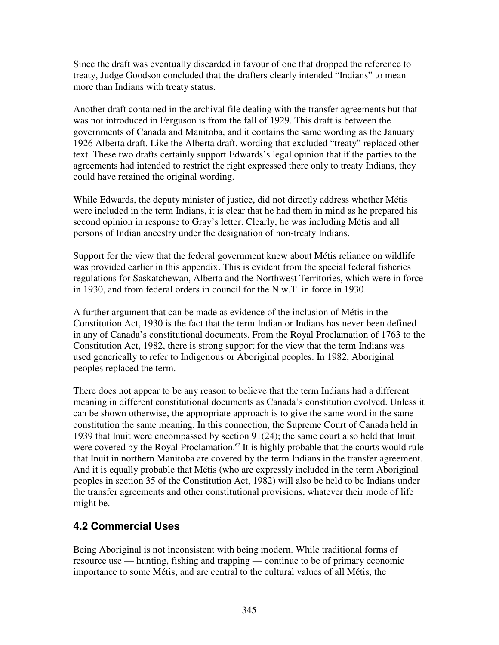Since the draft was eventually discarded in favour of one that dropped the reference to treaty, Judge Goodson concluded that the drafters clearly intended "Indians" to mean more than Indians with treaty status.

Another draft contained in the archival file dealing with the transfer agreements but that was not introduced in Ferguson is from the fall of 1929. This draft is between the governments of Canada and Manitoba, and it contains the same wording as the January 1926 Alberta draft. Like the Alberta draft, wording that excluded "treaty" replaced other text. These two drafts certainly support Edwards's legal opinion that if the parties to the agreements had intended to restrict the right expressed there only to treaty Indians, they could have retained the original wording.

While Edwards, the deputy minister of justice, did not directly address whether Métis were included in the term Indians, it is clear that he had them in mind as he prepared his second opinion in response to Gray's letter. Clearly, he was including Métis and all persons of Indian ancestry under the designation of non-treaty Indians.

Support for the view that the federal government knew about Métis reliance on wildlife was provided earlier in this appendix. This is evident from the special federal fisheries regulations for Saskatchewan, Alberta and the Northwest Territories, which were in force in 1930, and from federal orders in council for the N.w.T. in force in 1930.

A further argument that can be made as evidence of the inclusion of Métis in the Constitution Act, 1930 is the fact that the term Indian or Indians has never been defined in any of Canada's constitutional documents. From the Royal Proclamation of 1763 to the Constitution Act, 1982, there is strong support for the view that the term Indians was used generically to refer to Indigenous or Aboriginal peoples. In 1982, Aboriginal peoples replaced the term.

There does not appear to be any reason to believe that the term Indians had a different meaning in different constitutional documents as Canada's constitution evolved. Unless it can be shown otherwise, the appropriate approach is to give the same word in the same constitution the same meaning. In this connection, the Supreme Court of Canada held in 1939 that Inuit were encompassed by section 91(24); the same court also held that Inuit were covered by the Royal Proclamation.<sup>67</sup> It is highly probable that the courts would rule that Inuit in northern Manitoba are covered by the term Indians in the transfer agreement. And it is equally probable that Métis (who are expressly included in the term Aboriginal peoples in section 35 of the Constitution Act, 1982) will also be held to be Indians under the transfer agreements and other constitutional provisions, whatever their mode of life might be.

## **4.2 Commercial Uses**

Being Aboriginal is not inconsistent with being modern. While traditional forms of resource use — hunting, fishing and trapping — continue to be of primary economic importance to some Métis, and are central to the cultural values of all Métis, the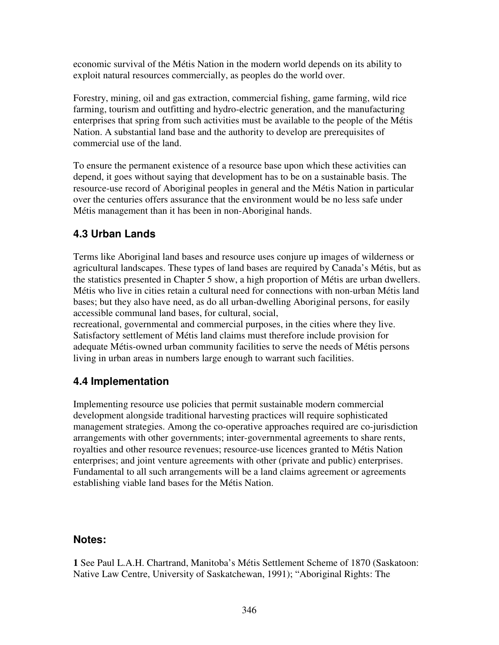economic survival of the Métis Nation in the modern world depends on its ability to exploit natural resources commercially, as peoples do the world over.

Forestry, mining, oil and gas extraction, commercial fishing, game farming, wild rice farming, tourism and outfitting and hydro-electric generation, and the manufacturing enterprises that spring from such activities must be available to the people of the Métis Nation. A substantial land base and the authority to develop are prerequisites of commercial use of the land.

To ensure the permanent existence of a resource base upon which these activities can depend, it goes without saying that development has to be on a sustainable basis. The resource-use record of Aboriginal peoples in general and the Métis Nation in particular over the centuries offers assurance that the environment would be no less safe under Métis management than it has been in non-Aboriginal hands.

## **4.3 Urban Lands**

Terms like Aboriginal land bases and resource uses conjure up images of wilderness or agricultural landscapes. These types of land bases are required by Canada's Métis, but as the statistics presented in Chapter 5 show, a high proportion of Métis are urban dwellers. Métis who live in cities retain a cultural need for connections with non-urban Métis land bases; but they also have need, as do all urban-dwelling Aboriginal persons, for easily accessible communal land bases, for cultural, social,

recreational, governmental and commercial purposes, in the cities where they live. Satisfactory settlement of Métis land claims must therefore include provision for adequate Métis-owned urban community facilities to serve the needs of Métis persons living in urban areas in numbers large enough to warrant such facilities.

## **4.4 Implementation**

Implementing resource use policies that permit sustainable modern commercial development alongside traditional harvesting practices will require sophisticated management strategies. Among the co-operative approaches required are co-jurisdiction arrangements with other governments; inter-governmental agreements to share rents, royalties and other resource revenues; resource-use licences granted to Métis Nation enterprises; and joint venture agreements with other (private and public) enterprises. Fundamental to all such arrangements will be a land claims agreement or agreements establishing viable land bases for the Métis Nation.

### **Notes:**

**1** See Paul L.A.H. Chartrand, Manitoba's Métis Settlement Scheme of 1870 (Saskatoon: Native Law Centre, University of Saskatchewan, 1991); "Aboriginal Rights: The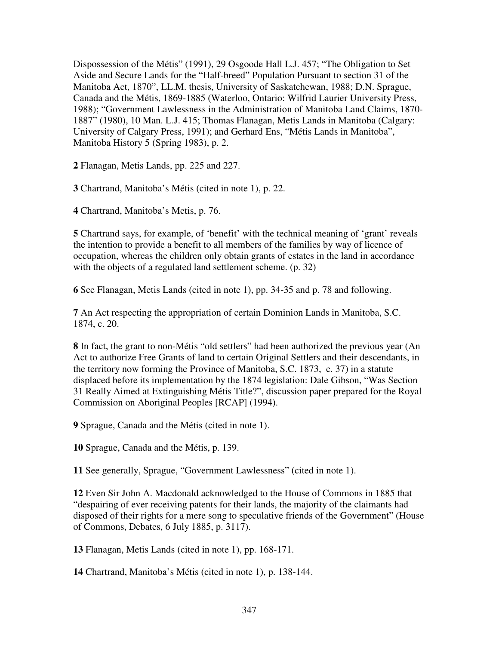Dispossession of the Métis" (1991), 29 Osgoode Hall L.J. 457; "The Obligation to Set Aside and Secure Lands for the "Half-breed" Population Pursuant to section 31 of the Manitoba Act, 1870", LL.M. thesis, University of Saskatchewan, 1988; D.N. Sprague, Canada and the Métis, 1869-1885 (Waterloo, Ontario: Wilfrid Laurier University Press, 1988); "Government Lawlessness in the Administration of Manitoba Land Claims, 1870- 1887" (1980), 10 Man. L.J. 415; Thomas Flanagan, Metis Lands in Manitoba (Calgary: University of Calgary Press, 1991); and Gerhard Ens, "Métis Lands in Manitoba", Manitoba History 5 (Spring 1983), p. 2.

**2** Flanagan, Metis Lands, pp. 225 and 227.

**3** Chartrand, Manitoba's Métis (cited in note 1), p. 22.

**4** Chartrand, Manitoba's Metis, p. 76.

**5** Chartrand says, for example, of 'benefit' with the technical meaning of 'grant' reveals the intention to provide a benefit to all members of the families by way of licence of occupation, whereas the children only obtain grants of estates in the land in accordance with the objects of a regulated land settlement scheme. (p. 32)

**6** See Flanagan, Metis Lands (cited in note 1), pp. 34-35 and p. 78 and following.

**7** An Act respecting the appropriation of certain Dominion Lands in Manitoba, S.C. 1874, c. 20.

**8** In fact, the grant to non-Métis "old settlers" had been authorized the previous year (An Act to authorize Free Grants of land to certain Original Settlers and their descendants, in the territory now forming the Province of Manitoba, S.C. 1873, c. 37) in a statute displaced before its implementation by the 1874 legislation: Dale Gibson, "Was Section 31 Really Aimed at Extinguishing Métis Title?", discussion paper prepared for the Royal Commission on Aboriginal Peoples [RCAP] (1994).

**9** Sprague, Canada and the Métis (cited in note 1).

**10** Sprague, Canada and the Métis, p. 139.

**11** See generally, Sprague, "Government Lawlessness" (cited in note 1).

**12** Even Sir John A. Macdonald acknowledged to the House of Commons in 1885 that "despairing of ever receiving patents for their lands, the majority of the claimants had disposed of their rights for a mere song to speculative friends of the Government" (House of Commons, Debates, 6 July 1885, p. 3117).

**13** Flanagan, Metis Lands (cited in note 1), pp. 168-171.

**14** Chartrand, Manitoba's Métis (cited in note 1), p. 138-144.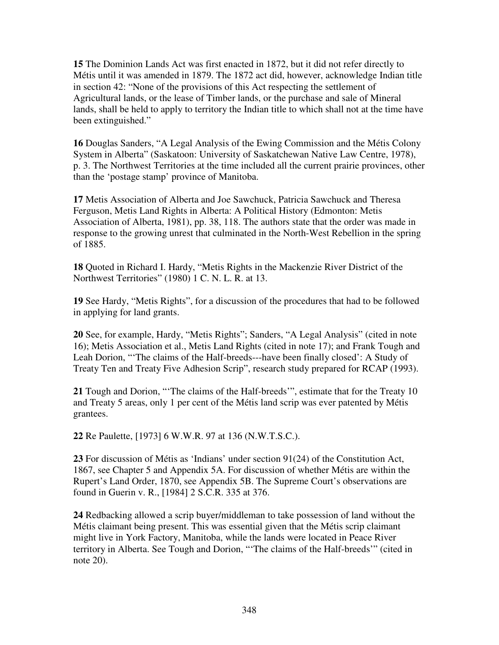**15** The Dominion Lands Act was first enacted in 1872, but it did not refer directly to Métis until it was amended in 1879. The 1872 act did, however, acknowledge Indian title in section 42: "None of the provisions of this Act respecting the settlement of Agricultural lands, or the lease of Timber lands, or the purchase and sale of Mineral lands, shall be held to apply to territory the Indian title to which shall not at the time have been extinguished."

**16** Douglas Sanders, "A Legal Analysis of the Ewing Commission and the Métis Colony System in Alberta" (Saskatoon: University of Saskatchewan Native Law Centre, 1978), p. 3. The Northwest Territories at the time included all the current prairie provinces, other than the 'postage stamp' province of Manitoba.

**17** Metis Association of Alberta and Joe Sawchuck, Patricia Sawchuck and Theresa Ferguson, Metis Land Rights in Alberta: A Political History (Edmonton: Metis Association of Alberta, 1981), pp. 38, 118. The authors state that the order was made in response to the growing unrest that culminated in the North-West Rebellion in the spring of 1885.

**18** Quoted in Richard I. Hardy, "Metis Rights in the Mackenzie River District of the Northwest Territories" (1980) 1 C. N. L. R. at 13.

**19** See Hardy, "Metis Rights", for a discussion of the procedures that had to be followed in applying for land grants.

**20** See, for example, Hardy, "Metis Rights"; Sanders, "A Legal Analysis" (cited in note 16); Metis Association et al., Metis Land Rights (cited in note 17); and Frank Tough and Leah Dorion, "'The claims of the Half-breeds---have been finally closed': A Study of Treaty Ten and Treaty Five Adhesion Scrip", research study prepared for RCAP (1993).

**21** Tough and Dorion, "'The claims of the Half-breeds'", estimate that for the Treaty 10 and Treaty 5 areas, only 1 per cent of the Métis land scrip was ever patented by Métis grantees.

**22** Re Paulette, [1973] 6 W.W.R. 97 at 136 (N.W.T.S.C.).

**23** For discussion of Métis as 'Indians' under section 91(24) of the Constitution Act, 1867, see Chapter 5 and Appendix 5A. For discussion of whether Métis are within the Rupert's Land Order, 1870, see Appendix 5B. The Supreme Court's observations are found in Guerin v. R., [1984] 2 S.C.R. 335 at 376.

**24** Redbacking allowed a scrip buyer/middleman to take possession of land without the Métis claimant being present. This was essential given that the Métis scrip claimant might live in York Factory, Manitoba, while the lands were located in Peace River territory in Alberta. See Tough and Dorion, "'The claims of the Half-breeds'" (cited in note 20).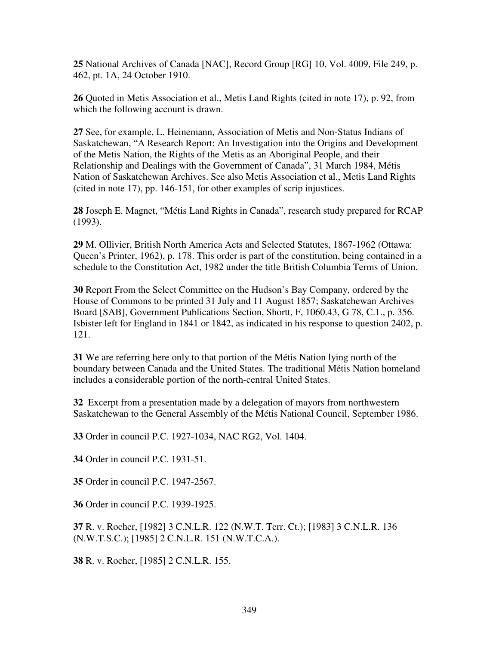**25** National Archives of Canada [NAC], Record Group [RG] 10, Vol. 4009, File 249, p. 462, pt. 1A, 24 October 1910.

**26** Quoted in Metis Association et al., Metis Land Rights (cited in note 17), p. 92, from which the following account is drawn.

**27** See, for example, L. Heinemann, Association of Metis and Non-Status Indians of Saskatchewan, "A Research Report: An Investigation into the Origins and Development of the Metis Nation, the Rights of the Metis as an Aboriginal People, and their Relationship and Dealings with the Government of Canada", 31 March 1984, Métis Nation of Saskatchewan Archives. See also Metis Association et al., Metis Land Rights (cited in note 17), pp. 146-151, for other examples of scrip injustices.

**28** Joseph E. Magnet, "Métis Land Rights in Canada", research study prepared for RCAP (1993).

**29** M. Ollivier, British North America Acts and Selected Statutes, 1867-1962 (Ottawa: Queen's Printer, 1962), p. 178. This order is part of the constitution, being contained in a schedule to the Constitution Act, 1982 under the title British Columbia Terms of Union.

**30** Report From the Select Committee on the Hudson's Bay Company, ordered by the House of Commons to be printed 31 July and 11 August 1857; Saskatchewan Archives Board [SAB], Government Publications Section, Shortt, F, 1060.43, G 78, C.1., p. 356. Isbister left for England in 1841 or 1842, as indicated in his response to question 2402, p. 121.

**31** We are referring here only to that portion of the Métis Nation lying north of the boundary between Canada and the United States. The traditional Métis Nation homeland includes a considerable portion of the north-central United States.

**32** Excerpt from a presentation made by a delegation of mayors from northwestern Saskatchewan to the General Assembly of the Métis National Council, September 1986.

**33** Order in council P.C. 1927-1034, NAC RG2, Vol. 1404.

**34** Order in council P.C. 1931-51.

**35** Order in council P.C. 1947-2567.

**36** Order in council P.C. 1939-1925.

**37** R. v. Rocher, [1982] 3 C.N.L.R. 122 (N.W.T. Terr. Ct.); [1983] 3 C.N.L.R. 136 (N.W.T.S.C.); [1985] 2 C.N.L.R. 151 (N.W.T.C.A.).

**38** R. v. Rocher, [1985] 2 C.N.L.R. 155.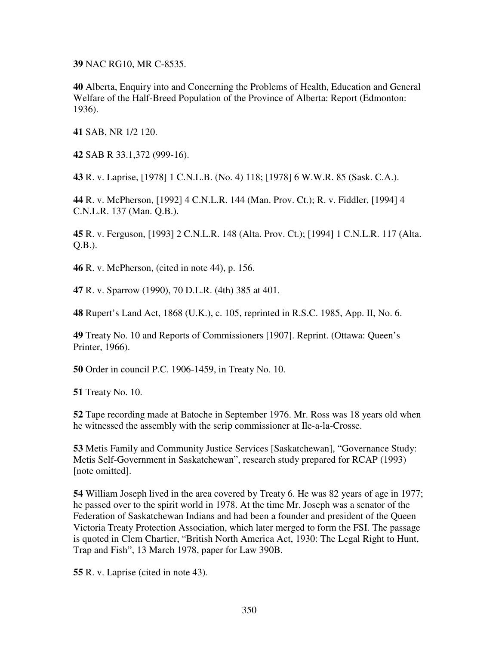**39** NAC RG10, MR C-8535.

**40** Alberta, Enquiry into and Concerning the Problems of Health, Education and General Welfare of the Half-Breed Population of the Province of Alberta: Report (Edmonton: 1936).

**41** SAB, NR 1/2 120.

**42** SAB R 33.1,372 (999-16).

**43** R. v. Laprise, [1978] 1 C.N.L.B. (No. 4) 118; [1978] 6 W.W.R. 85 (Sask. C.A.).

**44** R. v. McPherson, [1992] 4 C.N.L.R. 144 (Man. Prov. Ct.); R. v. Fiddler, [1994] 4 C.N.L.R. 137 (Man. Q.B.).

**45** R. v. Ferguson, [1993] 2 C.N.L.R. 148 (Alta. Prov. Ct.); [1994] 1 C.N.L.R. 117 (Alta. Q.B.).

**46** R. v. McPherson, (cited in note 44), p. 156.

**47** R. v. Sparrow (1990), 70 D.L.R. (4th) 385 at 401.

**48** Rupert's Land Act, 1868 (U.K.), c. 105, reprinted in R.S.C. 1985, App. II, No. 6.

**49** Treaty No. 10 and Reports of Commissioners [1907]. Reprint. (Ottawa: Queen's Printer, 1966).

**50** Order in council P.C. 1906-1459, in Treaty No. 10.

**51** Treaty No. 10.

**52** Tape recording made at Batoche in September 1976. Mr. Ross was 18 years old when he witnessed the assembly with the scrip commissioner at Ile-a-la-Crosse.

**53** Metis Family and Community Justice Services [Saskatchewan], "Governance Study: Metis Self-Government in Saskatchewan", research study prepared for RCAP (1993) [note omitted].

**54** William Joseph lived in the area covered by Treaty 6. He was 82 years of age in 1977; he passed over to the spirit world in 1978. At the time Mr. Joseph was a senator of the Federation of Saskatchewan Indians and had been a founder and president of the Queen Victoria Treaty Protection Association, which later merged to form the FSI. The passage is quoted in Clem Chartier, "British North America Act, 1930: The Legal Right to Hunt, Trap and Fish", 13 March 1978, paper for Law 390B.

**55** R. v. Laprise (cited in note 43).